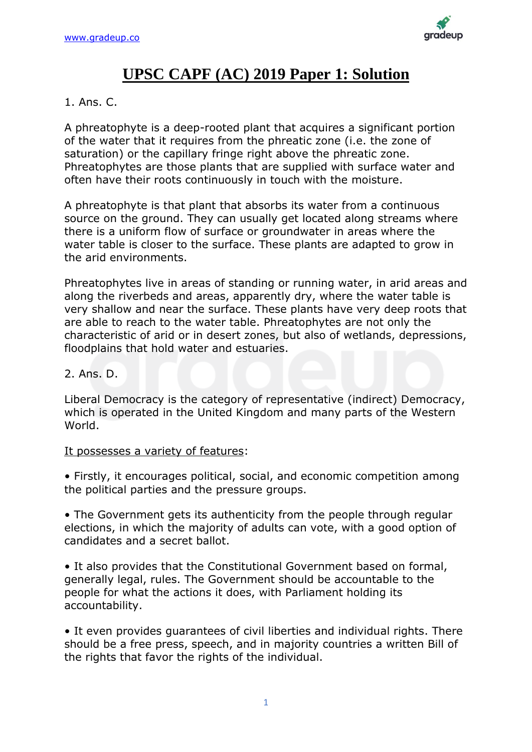

# **UPSC CAPF (AC) 2019 Paper 1: Solution**

### 1. Ans. C.

A phreatophyte is a deep-rooted plant that acquires a significant portion of the water that it requires from the phreatic zone (i.e. the zone of saturation) or the capillary fringe right above the phreatic zone. Phreatophytes are those plants that are supplied with surface water and often have their roots continuously in touch with the moisture.

A phreatophyte is that plant that absorbs its water from a continuous source on the ground. They can usually get located along streams where there is a uniform flow of surface or groundwater in areas where the water table is closer to the surface. These plants are adapted to grow in the arid environments.

Phreatophytes live in areas of standing or running water, in arid areas and along the riverbeds and areas, apparently dry, where the water table is very shallow and near the surface. These plants have very deep roots that are able to reach to the water table. Phreatophytes are not only the characteristic of arid or in desert zones, but also of wetlands, depressions, floodplains that hold water and estuaries.

### 2. Ans. D.

Liberal Democracy is the category of representative (indirect) Democracy, which is operated in the United Kingdom and many parts of the Western World.

### It possesses a variety of features:

• Firstly, it encourages political, social, and economic competition among the political parties and the pressure groups.

• The Government gets its authenticity from the people through regular elections, in which the majority of adults can vote, with a good option of candidates and a secret ballot.

• It also provides that the Constitutional Government based on formal, generally legal, rules. The Government should be accountable to the people for what the actions it does, with Parliament holding its accountability.

• It even provides guarantees of civil liberties and individual rights. There should be a free press, speech, and in majority countries a written Bill of the rights that favor the rights of the individual.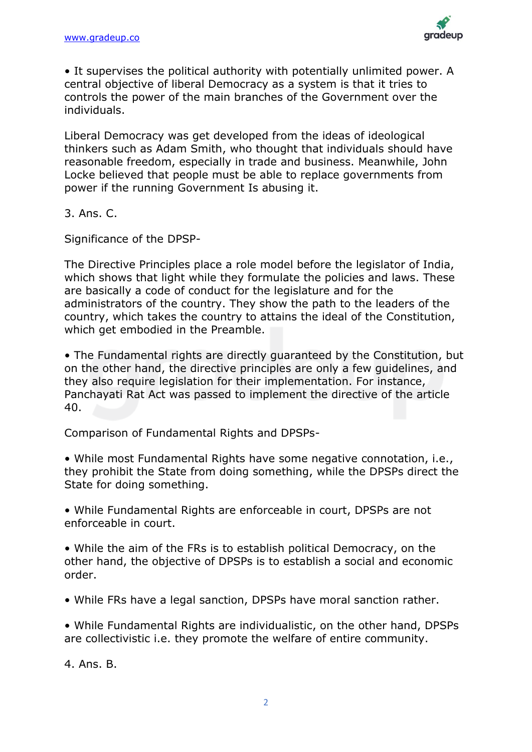

• It supervises the political authority with potentially unlimited power. A central objective of liberal Democracy as a system is that it tries to controls the power of the main branches of the Government over the individuals.

Liberal Democracy was get developed from the ideas of ideological thinkers such as Adam Smith, who thought that individuals should have reasonable freedom, especially in trade and business. Meanwhile, John Locke believed that people must be able to replace governments from power if the running Government Is abusing it.

3. Ans. C.

Significance of the DPSP-

The Directive Principles place a role model before the legislator of India, which shows that light while they formulate the policies and laws. These are basically a code of conduct for the legislature and for the administrators of the country. They show the path to the leaders of the country, which takes the country to attains the ideal of the Constitution, which get embodied in the Preamble.

• The Fundamental rights are directly guaranteed by the Constitution, but on the other hand, the directive principles are only a few guidelines, and they also require legislation for their implementation. For instance, Panchayati Rat Act was passed to implement the directive of the article 40.

Comparison of Fundamental Rights and DPSPs-

• While most Fundamental Rights have some negative connotation, i.e., they prohibit the State from doing something, while the DPSPs direct the State for doing something.

• While Fundamental Rights are enforceable in court, DPSPs are not enforceable in court.

• While the aim of the FRs is to establish political Democracy, on the other hand, the objective of DPSPs is to establish a social and economic order.

• While FRs have a legal sanction, DPSPs have moral sanction rather.

• While Fundamental Rights are individualistic, on the other hand, DPSPs are collectivistic i.e. they promote the welfare of entire community.

4. Ans. B.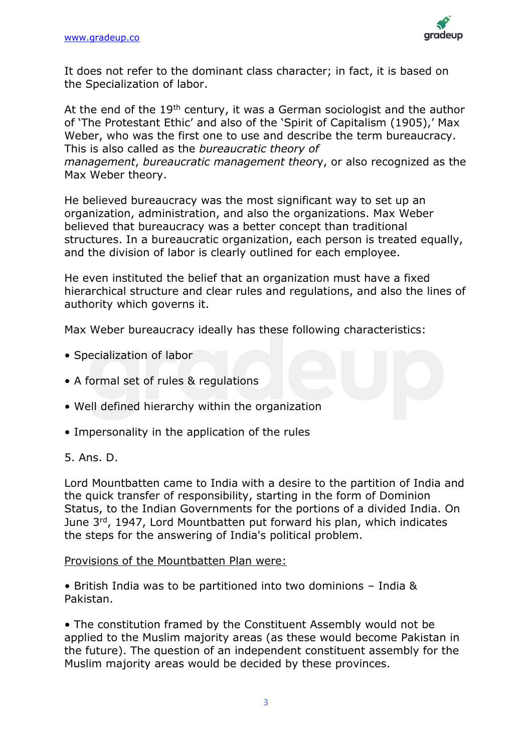

It does not refer to the dominant class character; in fact, it is based on the Specialization of labor.

At the end of the 19<sup>th</sup> century, it was a German sociologist and the author of 'The Protestant Ethic' and also of the 'Spirit of Capitalism (1905),' Max Weber, who was the first one to use and describe the term bureaucracy. This is also called as the *bureaucratic theory of management*, *bureaucratic management theor*y, or also recognized as the Max Weber theory.

He believed bureaucracy was the most significant way to set up an organization, administration, and also the organizations. Max Weber believed that bureaucracy was a better concept than traditional structures. In a bureaucratic organization, each person is treated equally, and the division of labor is clearly outlined for each employee.

He even instituted the belief that an organization must have a fixed hierarchical structure and clear rules and regulations, and also the lines of authority which governs it.

Max Weber bureaucracy ideally has these following characteristics:

- Specialization of labor
- A formal set of rules & regulations
- Well defined hierarchy within the organization
- Impersonality in the application of the rules

### 5. Ans. D.

Lord Mountbatten came to India with a desire to the partition of India and the quick transfer of responsibility, starting in the form of Dominion Status, to the Indian Governments for the portions of a divided India. On June 3rd, 1947, Lord Mountbatten put forward his plan, which indicates the steps for the answering of India's political problem.

#### Provisions of the Mountbatten Plan were:

• British India was to be partitioned into two dominions – India & Pakistan.

• The constitution framed by the Constituent Assembly would not be applied to the Muslim majority areas (as these would become Pakistan in the future). The question of an independent constituent assembly for the Muslim majority areas would be decided by these provinces.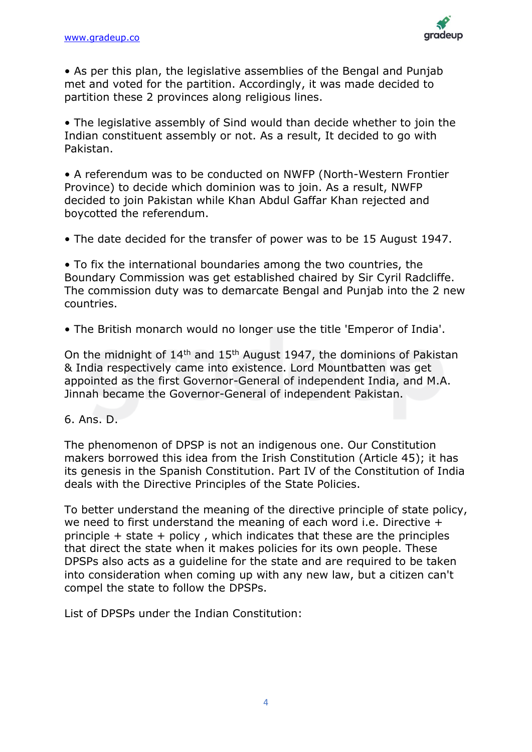

• As per this plan, the legislative assemblies of the Bengal and Punjab met and voted for the partition. Accordingly, it was made decided to partition these 2 provinces along religious lines.

• The legislative assembly of Sind would than decide whether to join the Indian constituent assembly or not. As a result, It decided to go with Pakistan.

• A referendum was to be conducted on NWFP (North-Western Frontier Province) to decide which dominion was to join. As a result, NWFP decided to join Pakistan while Khan Abdul Gaffar Khan rejected and boycotted the referendum.

• The date decided for the transfer of power was to be 15 August 1947.

• To fix the international boundaries among the two countries, the Boundary Commission was get established chaired by Sir Cyril Radcliffe. The commission duty was to demarcate Bengal and Punjab into the 2 new countries.

• The British monarch would no longer use the title 'Emperor of India'.

On the midnight of  $14<sup>th</sup>$  and  $15<sup>th</sup>$  August 1947, the dominions of Pakistan & India respectively came into existence. Lord Mountbatten was get appointed as the first Governor-General of independent India, and M.A. Jinnah became the Governor-General of independent Pakistan.

### 6. Ans. D.

The phenomenon of DPSP is not an indigenous one. Our Constitution makers borrowed this idea from the Irish Constitution (Article 45); it has its genesis in the Spanish Constitution. Part IV of the Constitution of India deals with the Directive Principles of the State Policies.

To better understand the meaning of the directive principle of state policy, we need to first understand the meaning of each word i.e. Directive + principle + state + policy , which indicates that these are the principles that direct the state when it makes policies for its own people. These DPSPs also acts as a guideline for the state and are required to be taken into consideration when coming up with any new law, but a citizen can't compel the state to follow the DPSPs.

List of DPSPs under the Indian Constitution: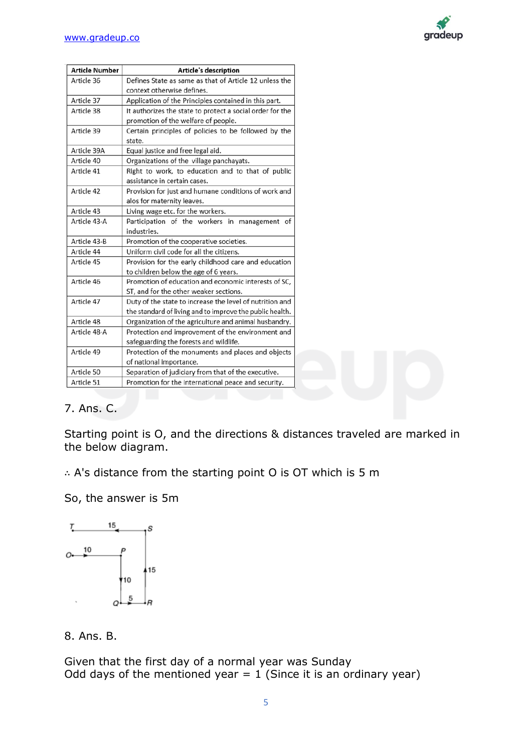

| <b>Article Number</b> | Article's description                                     |  |  |  |
|-----------------------|-----------------------------------------------------------|--|--|--|
| Article 36            | Defines State as same as that of Article 12 unless the    |  |  |  |
|                       | context otherwise defines.                                |  |  |  |
| Article 37            | Application of the Principles contained in this part.     |  |  |  |
| Article 38            | It authorizes the state to protect a social order for the |  |  |  |
|                       | promotion of the welfare of people.                       |  |  |  |
| Article 39            | Certain principles of policies to be followed by the      |  |  |  |
|                       | state.                                                    |  |  |  |
| Article 39A           | Equal justice and free legal aid.                         |  |  |  |
| Article 40            | Organizations of the village panchayats.                  |  |  |  |
| Article 41            | Right to work, to education and to that of public         |  |  |  |
|                       | assistance in certain cases.                              |  |  |  |
| Article 42            | Provision for just and humane conditions of work and      |  |  |  |
|                       | alos for maternity leaves.                                |  |  |  |
| Article 43            | Living wage etc. for the workers.                         |  |  |  |
| Article 43-A          | Participation of the workers in management of             |  |  |  |
|                       | industries.                                               |  |  |  |
| Article 43-B          | Promotion of the cooperative societies.                   |  |  |  |
| Article 44            | Uniform civil code for all the citizens.                  |  |  |  |
| Article 45            | Provision for the early childhood care and education      |  |  |  |
|                       | to children below the age of 6 years.                     |  |  |  |
| Article 46            | Promotion of education and economic interests of SC,      |  |  |  |
|                       | ST, and for the other weaker sections.                    |  |  |  |
| Article 47            | Duty of the state to increase the level of nutrition and  |  |  |  |
|                       | the standard of living and to improve the public health.  |  |  |  |
| Article 48            | Organization of the agriculture and animal husbandry.     |  |  |  |
| Article 48-A          | Protection and improvement of the environment and         |  |  |  |
|                       | safeguarding the forests and wildlife.                    |  |  |  |
| Article 49            | Protection of the monuments and places and objects        |  |  |  |
|                       | of national importance.                                   |  |  |  |
| Article 50            | Separation of judiciary from that of the executive.       |  |  |  |
| Article 51            | Promotion for the international peace and security.       |  |  |  |

### 7. Ans. C.

Starting point is O, and the directions & distances traveled are marked in the below diagram.

∴ A's distance from the starting point O is OT which is 5 m

So, the answer is 5m



8. Ans. B.

Given that the first day of a normal year was Sunday Odd days of the mentioned year =  $1$  (Since it is an ordinary year)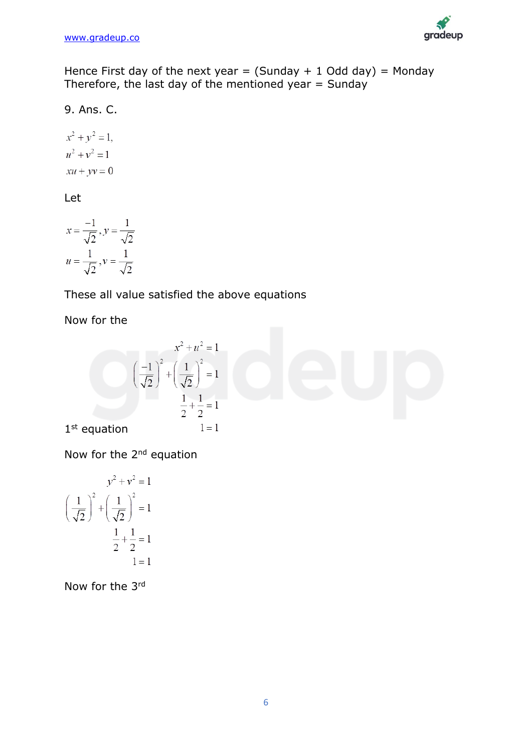

Hence First day of the next year =  $(Sunday + 1 Odd day) = Monday$ Therefore, the last day of the mentioned year  $=$  Sunday

9. Ans. C.

$$
x2 + y2 = 1,
$$
  

$$
u2 + v2 = 1
$$
  

$$
xu + yv = 0
$$

Let

$$
x = \frac{-1}{\sqrt{2}}, y = \frac{1}{\sqrt{2}}
$$
  

$$
u = \frac{1}{\sqrt{2}}, v = \frac{1}{\sqrt{2}}
$$

## These all value satisfied the above equations

Now for the

$$
x^{2} + u^{2} = 1
$$
\n
$$
\left(\frac{-1}{\sqrt{2}}\right)^{2} + \left(\frac{1}{\sqrt{2}}\right)^{2} = 1
$$
\n
$$
\frac{1}{2} + \frac{1}{2} = 1
$$
\n1st equation

\n
$$
1 = 1
$$

Now for the 2<sup>nd</sup> equation

$$
y^{2} + v^{2} = 1
$$

$$
\left(\frac{1}{\sqrt{2}}\right)^{2} + \left(\frac{1}{\sqrt{2}}\right)^{2} = 1
$$

$$
\frac{1}{2} + \frac{1}{2} = 1
$$

$$
1 = 1
$$

Now for the 3rd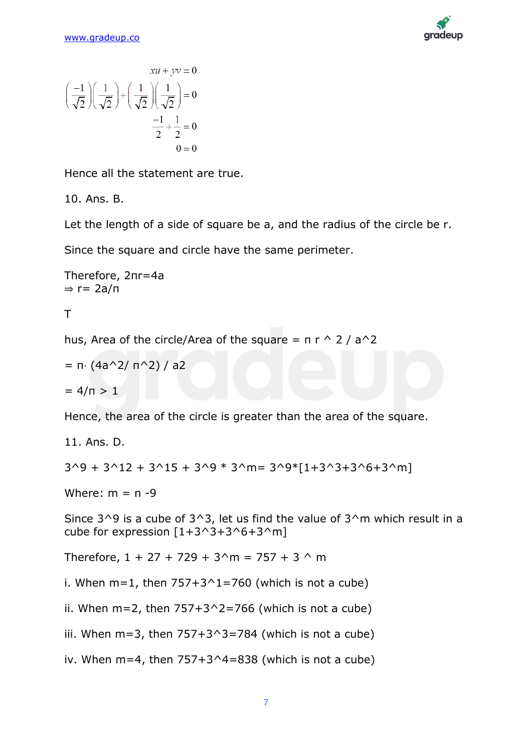

$$
xu + yv = 0
$$

$$
\left(\frac{-1}{\sqrt{2}}\right)\left(\frac{1}{\sqrt{2}}\right) + \left(\frac{1}{\sqrt{2}}\right)\left(\frac{1}{\sqrt{2}}\right) = 0
$$

$$
\frac{-1}{2} + \frac{1}{2} = 0
$$

$$
0 = 0
$$

Hence all the statement are true.

10. Ans. B.

Let the length of a side of square be a, and the radius of the circle be r.

Since the square and circle have the same perimeter.

Therefore, 2πr=4a  $\Rightarrow$  r= 2a/π

T

hus, Area of the circle/Area of the square =  $\pi r \wedge 2 / a \wedge 2$ 

= 
$$
\pi \cdot (4a^2 / \pi^2) / a^2
$$
  
=  $4/\pi > 1$ 

Hence, the area of the circle is greater than the area of the square.

11. Ans. D.  $3^9 + 3^12 + 3^15 + 3^9 * 3^m = 3^9 * [1+3^3+3^6+3^m]$ 

Where:  $m = n - 9$ 

Since  $3^0$  is a cube of  $3^0$ , let us find the value of  $3^m$  which result in a cube for expression  $[1+3^3+3^6+3^9]$ 

Therefore,  $1 + 27 + 729 + 3^{n} = 757 + 3^{n}$  m

i. When  $m=1$ , then  $757+3^1=760$  (which is not a cube)

ii. When  $m=2$ , then  $757+3^2=766$  (which is not a cube)

iii. When  $m=3$ , then  $757+3^2=784$  (which is not a cube)

iv. When  $m=4$ , then  $757+3^4=838$  (which is not a cube)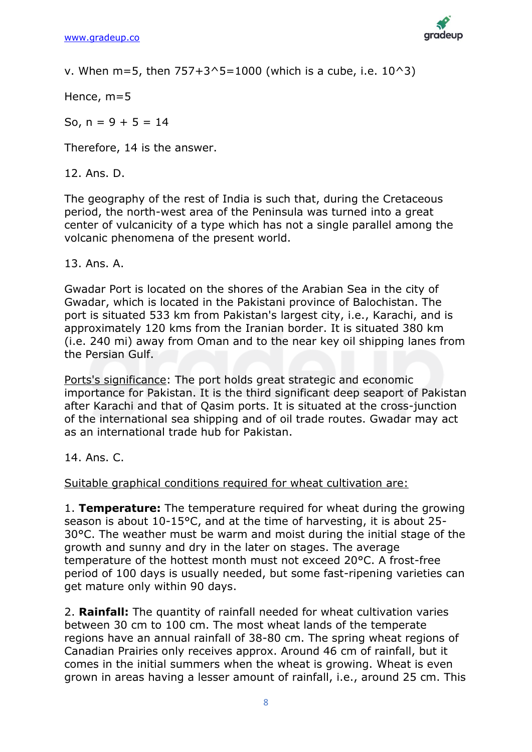

v. When m=5, then  $757+3^5=1000$  (which is a cube, i.e.  $10^3$ )

Hence, m=5

So,  $n = 9 + 5 = 14$ 

Therefore, 14 is the answer.

12. Ans. D.

The geography of the rest of India is such that, during the Cretaceous period, the north-west area of the Peninsula was turned into a great center of vulcanicity of a type which has not a single parallel among the volcanic phenomena of the present world.

13. Ans. A.

Gwadar Port is located on the shores of the Arabian Sea in the city of Gwadar, which is located in the Pakistani province of Balochistan. The port is situated 533 km from Pakistan's largest city, i.e., Karachi, and is approximately 120 kms from the Iranian border. It is situated 380 km (i.e. 240 mi) away from Oman and to the near key oil shipping lanes from the Persian Gulf.

Ports's significance: The port holds great strategic and economic importance for Pakistan. It is the third significant deep seaport of Pakistan after Karachi and that of Qasim ports. It is situated at the cross-junction of the international sea shipping and of oil trade routes. Gwadar may act as an international trade hub for Pakistan.

14. Ans. C.

Suitable graphical conditions required for wheat cultivation are:

1. **Temperature:** The temperature required for wheat during the growing season is about 10-15°C, and at the time of harvesting, it is about 25- 30°C. The weather must be warm and moist during the initial stage of the growth and sunny and dry in the later on stages. The average temperature of the hottest month must not exceed 20°C. A frost-free period of 100 days is usually needed, but some fast-ripening varieties can get mature only within 90 days.

2. **Rainfall:** The quantity of rainfall needed for wheat cultivation varies between 30 cm to 100 cm. The most wheat lands of the temperate regions have an annual rainfall of 38-80 cm. The spring wheat regions of Canadian Prairies only receives approx. Around 46 cm of rainfall, but it comes in the initial summers when the wheat is growing. Wheat is even grown in areas having a lesser amount of rainfall, i.e., around 25 cm. This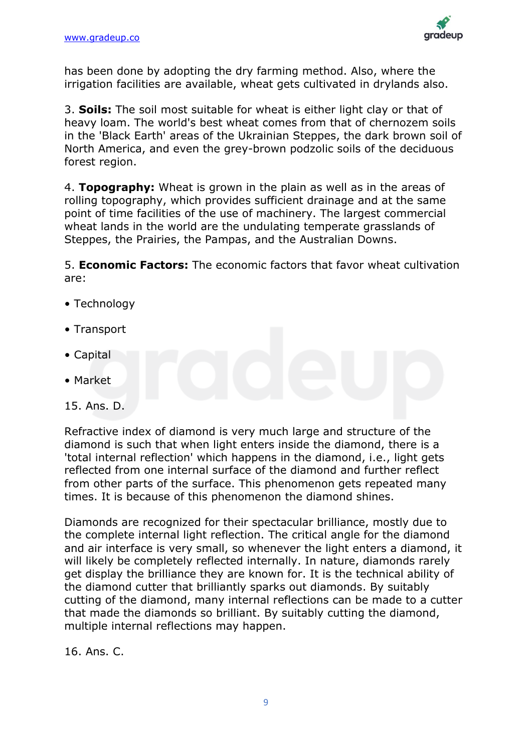

has been done by adopting the dry farming method. Also, where the irrigation facilities are available, wheat gets cultivated in drylands also.

3. **Soils:** The soil most suitable for wheat is either light clay or that of heavy loam. The world's best wheat comes from that of chernozem soils in the 'Black Earth' areas of the Ukrainian Steppes, the dark brown soil of North America, and even the grey-brown podzolic soils of the deciduous forest region.

4. **Topography:** Wheat is grown in the plain as well as in the areas of rolling topography, which provides sufficient drainage and at the same point of time facilities of the use of machinery. The largest commercial wheat lands in the world are the undulating temperate grasslands of Steppes, the Prairies, the Pampas, and the Australian Downs.

5. **Economic Factors:** The economic factors that favor wheat cultivation are:

- Technology
- Transport
- Capital
- Market
- 15. Ans. D.

Refractive index of diamond is very much large and structure of the diamond is such that when light enters inside the diamond, there is a 'total internal reflection' which happens in the diamond, i.e., light gets reflected from one internal surface of the diamond and further reflect from other parts of the surface. This phenomenon gets repeated many times. It is because of this phenomenon the diamond shines.

Diamonds are recognized for their spectacular brilliance, mostly due to the complete internal light reflection. The critical angle for the diamond and air interface is very small, so whenever the light enters a diamond, it will likely be completely reflected internally. In nature, diamonds rarely get display the brilliance they are known for. It is the technical ability of the diamond cutter that brilliantly sparks out diamonds. By suitably cutting of the diamond, many internal reflections can be made to a cutter that made the diamonds so brilliant. By suitably cutting the diamond, multiple internal reflections may happen.

16. Ans. C.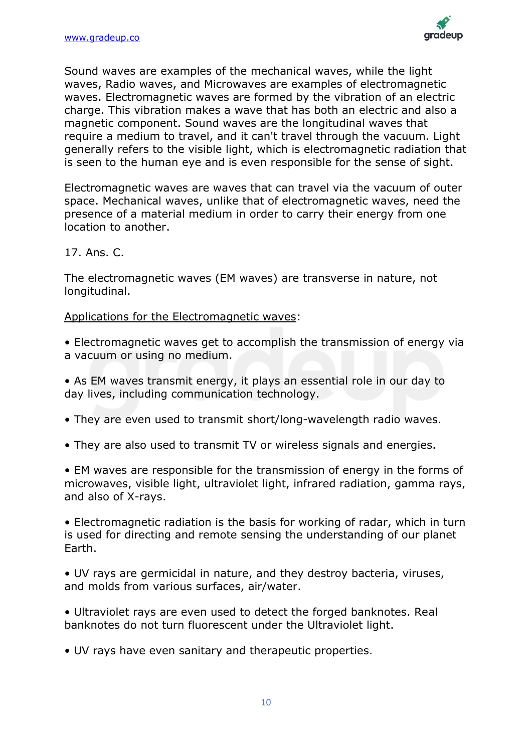

Sound waves are examples of the mechanical waves, while the light waves, Radio waves, and Microwaves are examples of electromagnetic waves. Electromagnetic waves are formed by the vibration of an electric charge. This vibration makes a wave that has both an electric and also a magnetic component. Sound waves are the longitudinal waves that require a medium to travel, and it can't travel through the vacuum. Light generally refers to the visible light, which is electromagnetic radiation that is seen to the human eye and is even responsible for the sense of sight.

Electromagnetic waves are waves that can travel via the vacuum of outer space. Mechanical waves, unlike that of electromagnetic waves, need the presence of a material medium in order to carry their energy from one location to another.

### 17. Ans. C.

The electromagnetic waves (EM waves) are transverse in nature, not longitudinal.

### Applications for the Electromagnetic waves:

- Electromagnetic waves get to accomplish the transmission of energy via a vacuum or using no medium.
- As EM waves transmit energy, it plays an essential role in our day to day lives, including communication technology.
- They are even used to transmit short/long-wavelength radio waves.
- They are also used to transmit TV or wireless signals and energies.
- EM waves are responsible for the transmission of energy in the forms of microwaves, visible light, ultraviolet light, infrared radiation, gamma rays, and also of X-rays.

• Electromagnetic radiation is the basis for working of radar, which in turn is used for directing and remote sensing the understanding of our planet Earth.

• UV rays are germicidal in nature, and they destroy bacteria, viruses, and molds from various surfaces, air/water.

• Ultraviolet rays are even used to detect the forged banknotes. Real banknotes do not turn fluorescent under the Ultraviolet light.

• UV rays have even sanitary and therapeutic properties.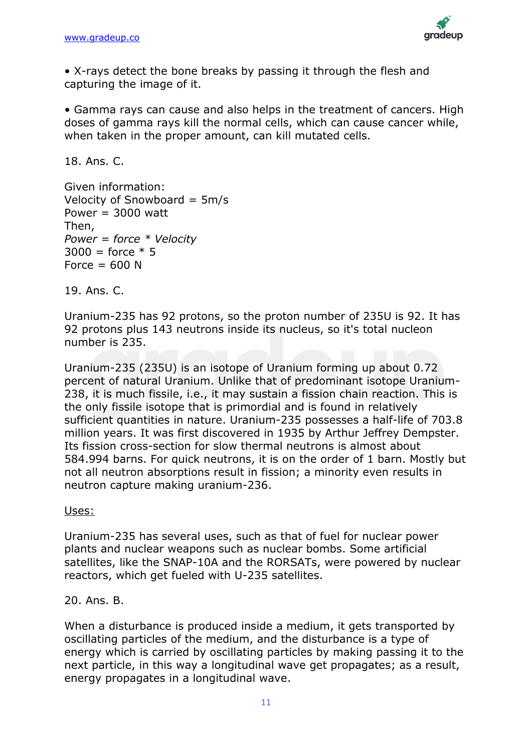

• X-rays detect the bone breaks by passing it through the flesh and capturing the image of it.

• Gamma rays can cause and also helps in the treatment of cancers. High doses of gamma rays kill the normal cells, which can cause cancer while, when taken in the proper amount, can kill mutated cells.

18. Ans. C.

Given information: Velocity of Snowboard = 5m/s Power  $= 3000$  watt Then, *Power = force \* Velocity*  $3000 =$  force  $*$  5 Force  $= 600$  N

19. Ans. C.

Uranium-235 has 92 protons, so the proton number of 235U is 92. It has 92 protons plus 143 neutrons inside its nucleus, so it's total nucleon number is 235.

Uranium-235 (235U) is an isotope of Uranium forming up about 0.72 percent of natural Uranium. Unlike that of predominant isotope Uranium-238, it is much fissile, i.e., it may sustain a fission chain reaction. This is the only fissile isotope that is primordial and is found in relatively sufficient quantities in nature. Uranium-235 possesses a half-life of 703.8 million years. It was first discovered in 1935 by Arthur Jeffrey Dempster. Its fission cross-section for slow thermal neutrons is almost about 584.994 barns. For quick neutrons, it is on the order of 1 barn. Mostly but not all neutron absorptions result in fission; a minority even results in neutron capture making uranium-236.

Uses:

Uranium-235 has several uses, such as that of fuel for nuclear power plants and nuclear weapons such as nuclear bombs. Some artificial satellites, like the SNAP-10A and the RORSATs, were powered by nuclear reactors, which get fueled with U-235 satellites.

20. Ans. B.

When a disturbance is produced inside a medium, it gets transported by oscillating particles of the medium, and the disturbance is a type of energy which is carried by oscillating particles by making passing it to the next particle, in this way a longitudinal wave get propagates; as a result, energy propagates in a longitudinal wave.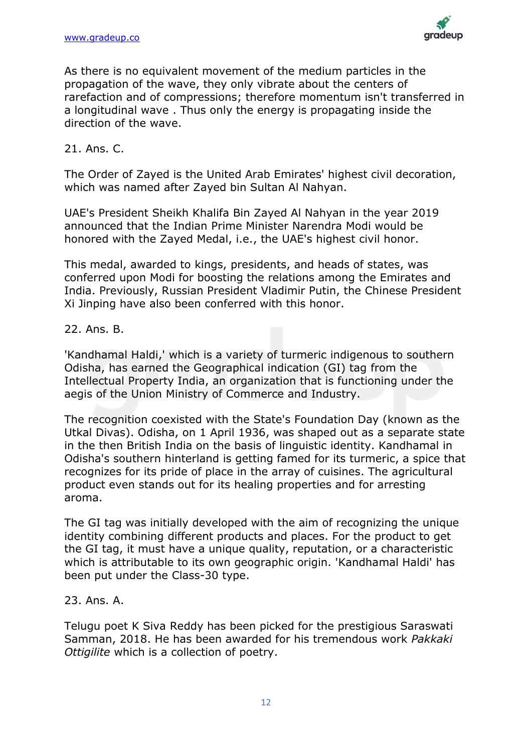

As there is no equivalent movement of the medium particles in the propagation of the wave, they only vibrate about the centers of rarefaction and of compressions; therefore momentum isn't transferred in a longitudinal wave . Thus only the energy is propagating inside the direction of the wave.

### 21. Ans. C.

The Order of Zayed is the United Arab Emirates' highest civil decoration, which was named after Zayed bin Sultan Al Nahyan.

UAE's President Sheikh Khalifa Bin Zayed Al Nahyan in the year 2019 announced that the Indian Prime Minister Narendra Modi would be honored with the Zayed Medal, i.e., the UAE's highest civil honor.

This medal, awarded to kings, presidents, and heads of states, was conferred upon Modi for boosting the relations among the Emirates and India. Previously, Russian President Vladimir Putin, the Chinese President Xi Jinping have also been conferred with this honor.

### 22. Ans. B.

'Kandhamal Haldi,' which is a variety of turmeric indigenous to southern Odisha, has earned the Geographical indication (GI) tag from the Intellectual Property India, an organization that is functioning under the aegis of the Union Ministry of Commerce and Industry.

The recognition coexisted with the State's Foundation Day (known as the Utkal Divas). Odisha, on 1 April 1936, was shaped out as a separate state in the then British India on the basis of linguistic identity. Kandhamal in Odisha's southern hinterland is getting famed for its turmeric, a spice that recognizes for its pride of place in the array of cuisines. The agricultural product even stands out for its healing properties and for arresting aroma.

The GI tag was initially developed with the aim of recognizing the unique identity combining different products and places. For the product to get the GI tag, it must have a unique quality, reputation, or a characteristic which is attributable to its own geographic origin. 'Kandhamal Haldi' has been put under the Class-30 type.

### 23. Ans. A.

Telugu poet K Siva Reddy has been picked for the prestigious Saraswati Samman, 2018. He has been awarded for his tremendous work *Pakkaki Ottigilite* which is a collection of poetry.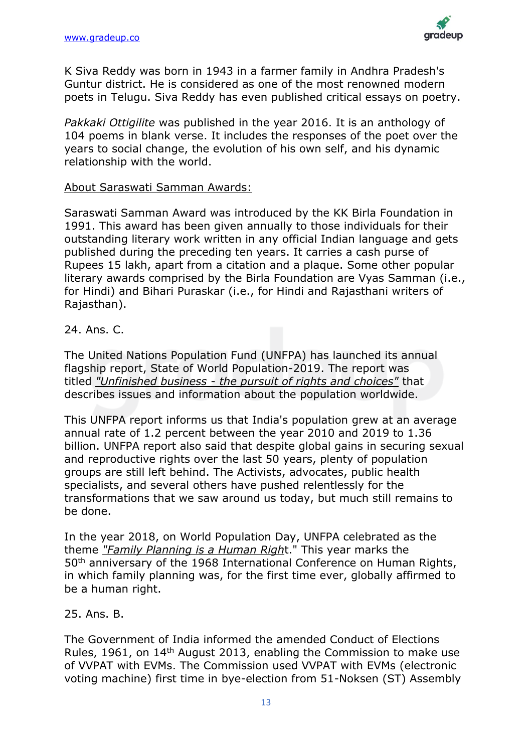

K Siva Reddy was born in 1943 in a farmer family in Andhra Pradesh's Guntur district. He is considered as one of the most renowned modern poets in Telugu. Siva Reddy has even published critical essays on poetry.

*Pakkaki Ottigilite* was published in the year 2016. It is an anthology of 104 poems in blank verse. It includes the responses of the poet over the years to social change, the evolution of his own self, and his dynamic relationship with the world.

### About Saraswati Samman Awards:

Saraswati Samman Award was introduced by the KK Birla Foundation in 1991. This award has been given annually to those individuals for their outstanding literary work written in any official Indian language and gets published during the preceding ten years. It carries a cash purse of Rupees 15 lakh, apart from a citation and a plaque. Some other popular literary awards comprised by the Birla Foundation are Vyas Samman (i.e., for Hindi) and Bihari Puraskar (i.e., for Hindi and Rajasthani writers of Rajasthan).

### 24. Ans. C.

The United Nations Population Fund (UNFPA) has launched its annual flagship report, State of World Population-2019. The report was titled *"Unfinished business - the pursuit of rights and choices"* that describes issues and information about the population worldwide.

This UNFPA report informs us that India's population grew at an average annual rate of 1.2 percent between the year 2010 and 2019 to 1.36 billion. UNFPA report also said that despite global gains in securing sexual and reproductive rights over the last 50 years, plenty of population groups are still left behind. The Activists, advocates, public health specialists, and several others have pushed relentlessly for the transformations that we saw around us today, but much still remains to be done.

In the year 2018, on World Population Day, UNFPA celebrated as the theme *"Family Planning is a Human Righ*t." This year marks the 50th anniversary of the 1968 International Conference on Human Rights, in which family planning was, for the first time ever, globally affirmed to be a human right.

### 25. Ans. B.

The Government of India informed the amended Conduct of Elections Rules, 1961, on 14<sup>th</sup> August 2013, enabling the Commission to make use of VVPAT with EVMs. The Commission used VVPAT with EVMs (electronic voting machine) first time in bye-election from 51-Noksen (ST) Assembly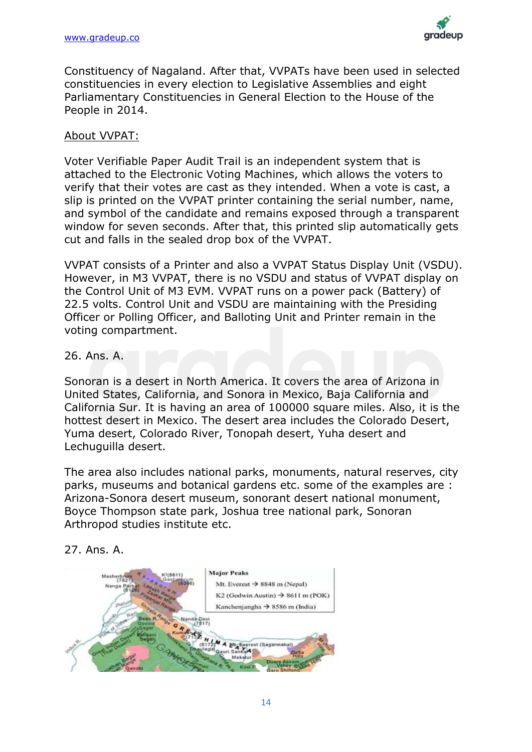

Constituency of Nagaland. After that, VVPATs have been used in selected constituencies in every election to Legislative Assemblies and eight Parliamentary Constituencies in General Election to the House of the People in 2014.

### About VVPAT:

Voter Verifiable Paper Audit Trail is an independent system that is attached to the Electronic Voting Machines, which allows the voters to verify that their votes are cast as they intended. When a vote is cast, a slip is printed on the VVPAT printer containing the serial number, name, and symbol of the candidate and remains exposed through a transparent window for seven seconds. After that, this printed slip automatically gets cut and falls in the sealed drop box of the VVPAT.

VVPAT consists of a Printer and also a VVPAT Status Display Unit (VSDU). However, in M3 VVPAT, there is no VSDU and status of VVPAT display on the Control Unit of M3 EVM. VVPAT runs on a power pack (Battery) of 22.5 volts. Control Unit and VSDU are maintaining with the Presiding Officer or Polling Officer, and Balloting Unit and Printer remain in the voting compartment.

26. Ans. A.

Sonoran is a desert in North America. It covers the area of Arizona in United States, California, and Sonora in Mexico, Baja California and California Sur. It is having an area of 100000 square miles. Also, it is the hottest desert in Mexico. The desert area includes the Colorado Desert, Yuma desert, Colorado River, Tonopah desert, Yuha desert and Lechuguilla desert.

The area also includes national parks, monuments, natural reserves, city parks, museums and botanical gardens etc. some of the examples are : Arizona-Sonora desert museum, sonorant desert national monument, Boyce Thompson state park, Joshua tree national park, Sonoran Arthropod studies institute etc.

### 27. Ans. A.

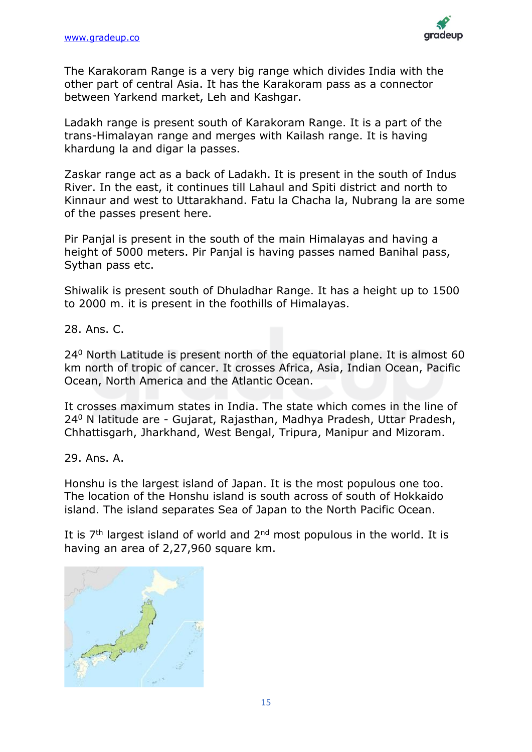

The Karakoram Range is a very big range which divides India with the other part of central Asia. It has the Karakoram pass as a connector between Yarkend market, Leh and Kashgar.

Ladakh range is present south of Karakoram Range. It is a part of the trans-Himalayan range and merges with Kailash range. It is having khardung la and digar la passes.

Zaskar range act as a back of Ladakh. It is present in the south of Indus River. In the east, it continues till Lahaul and Spiti district and north to Kinnaur and west to Uttarakhand. Fatu la Chacha la, Nubrang la are some of the passes present here.

Pir Panjal is present in the south of the main Himalayas and having a height of 5000 meters. Pir Panjal is having passes named Banihal pass, Sythan pass etc.

Shiwalik is present south of Dhuladhar Range. It has a height up to 1500 to 2000 m. it is present in the foothills of Himalayas.

28. Ans. C.

24<sup>0</sup> North Latitude is present north of the equatorial plane. It is almost 60 km north of tropic of cancer. It crosses Africa, Asia, Indian Ocean, Pacific Ocean, North America and the Atlantic Ocean.

It crosses maximum states in India. The state which comes in the line of 24<sup>0</sup> N latitude are - Gujarat, Rajasthan, Madhya Pradesh, Uttar Pradesh, Chhattisgarh, Jharkhand, West Bengal, Tripura, Manipur and Mizoram.

29. Ans. A.

Honshu is the largest island of Japan. It is the most populous one too. The location of the Honshu island is south across of south of Hokkaido island. The island separates Sea of Japan to the North Pacific Ocean.

It is  $7<sup>th</sup>$  largest island of world and  $2<sup>nd</sup>$  most populous in the world. It is having an area of 2,27,960 square km.

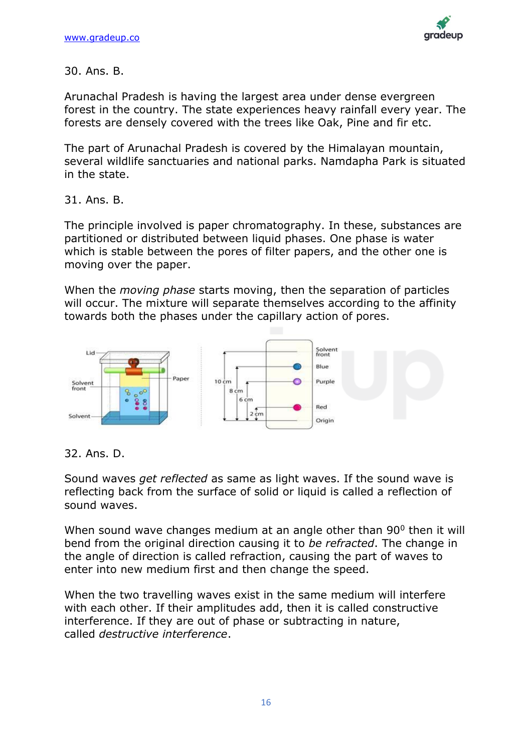

30. Ans. B.

Arunachal Pradesh is having the largest area under dense evergreen forest in the country. The state experiences heavy rainfall every year. The forests are densely covered with the trees like Oak, Pine and fir etc.

The part of Arunachal Pradesh is covered by the Himalayan mountain, several wildlife sanctuaries and national parks. Namdapha Park is situated in the state.

31. Ans. B.

The principle involved is paper chromatography. In these, substances are partitioned or distributed between liquid phases. One phase is water which is stable between the pores of filter papers, and the other one is moving over the paper.

When the *moving phase* starts moving, then the separation of particles will occur. The mixture will separate themselves according to the affinity towards both the phases under the capillary action of pores.



32. Ans. D.

Sound waves *get reflected* as same as light waves. If the sound wave is reflecting back from the surface of solid or liquid is called a reflection of sound waves.

When sound wave changes medium at an angle other than 90<sup>0</sup> then it will bend from the original direction causing it to *be refracted*. The change in the angle of direction is called refraction, causing the part of waves to enter into new medium first and then change the speed.

When the two travelling waves exist in the same medium will interfere with each other. If their amplitudes add, then it is called constructive interference. If they are out of phase or subtracting in nature, called *destructive interference*.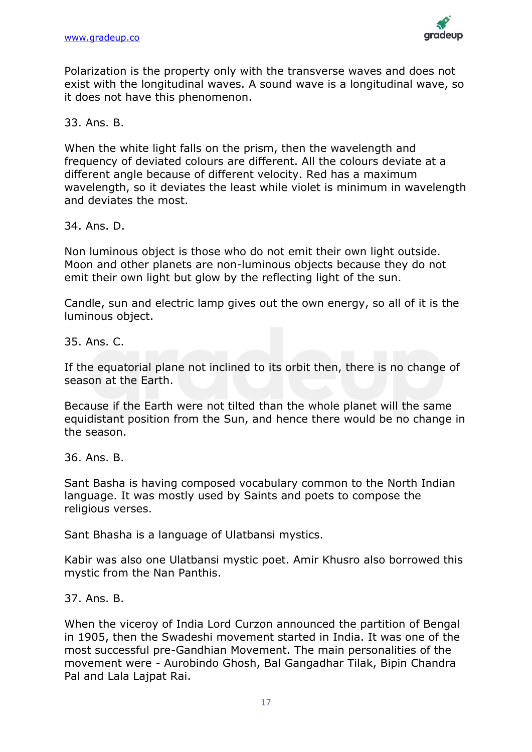

Polarization is the property only with the transverse waves and does not exist with the longitudinal waves. A sound wave is a longitudinal wave, so it does not have this phenomenon.

33. Ans. B.

When the white light falls on the prism, then the wavelength and frequency of deviated colours are different. All the colours deviate at a different angle because of different velocity. Red has a maximum wavelength, so it deviates the least while violet is minimum in wavelength and deviates the most.

34. Ans. D.

Non luminous object is those who do not emit their own light outside. Moon and other planets are non-luminous objects because they do not emit their own light but glow by the reflecting light of the sun.

Candle, sun and electric lamp gives out the own energy, so all of it is the luminous object.

35. Ans. C.

If the equatorial plane not inclined to its orbit then, there is no change of season at the Earth.

Because if the Earth were not tilted than the whole planet will the same equidistant position from the Sun, and hence there would be no change in the season.

36. Ans. B.

Sant Basha is having composed vocabulary common to the North Indian language. It was mostly used by Saints and poets to compose the religious verses.

Sant Bhasha is a language of Ulatbansi mystics.

Kabir was also one Ulatbansi mystic poet. Amir Khusro also borrowed this mystic from the Nan Panthis.

37. Ans. B.

When the viceroy of India Lord Curzon announced the partition of Bengal in 1905, then the Swadeshi movement started in India. It was one of the most successful pre-Gandhian Movement. The main personalities of the movement were - Aurobindo Ghosh, Bal Gangadhar Tilak, Bipin Chandra Pal and Lala Lajpat Rai.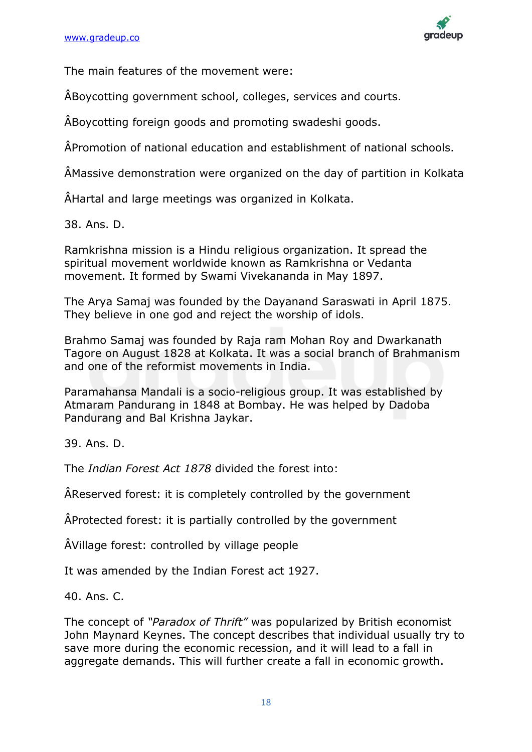

The main features of the movement were:

ÂBoycotting government school, colleges, services and courts.

ÂBoycotting foreign goods and promoting swadeshi goods.

ÂPromotion of national education and establishment of national schools.

ÂMassive demonstration were organized on the day of partition in Kolkata

ÂHartal and large meetings was organized in Kolkata.

38. Ans. D.

Ramkrishna mission is a Hindu religious organization. It spread the spiritual movement worldwide known as Ramkrishna or Vedanta movement. It formed by Swami Vivekananda in May 1897.

The Arya Samaj was founded by the Dayanand Saraswati in April 1875. They believe in one god and reject the worship of idols.

Brahmo Samaj was founded by Raja ram Mohan Roy and Dwarkanath Tagore on August 1828 at Kolkata. It was a social branch of Brahmanism and one of the reformist movements in India.

Paramahansa Mandali is a socio-religious group. It was established by Atmaram Pandurang in 1848 at Bombay. He was helped by Dadoba Pandurang and Bal Krishna Jaykar.

39. Ans. D.

The *Indian Forest Act 1878* divided the forest into:

ÂReserved forest: it is completely controlled by the government

ÂProtected forest: it is partially controlled by the government

ÂVillage forest: controlled by village people

It was amended by the Indian Forest act 1927.

40. Ans. C.

The concept of *"Paradox of Thrift"* was popularized by British economist John Maynard Keynes. The concept describes that individual usually try to save more during the economic recession, and it will lead to a fall in aggregate demands. This will further create a fall in economic growth.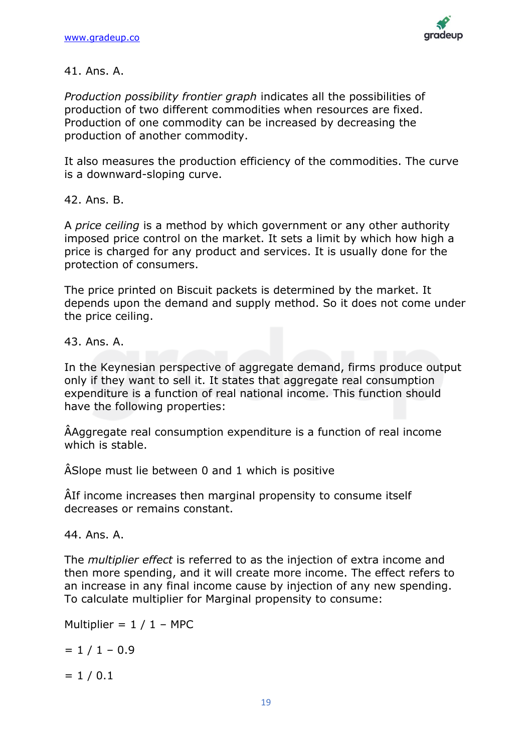

### 41. Ans. A.

*Production possibility frontier graph* indicates all the possibilities of production of two different commodities when resources are fixed. Production of one commodity can be increased by decreasing the production of another commodity.

It also measures the production efficiency of the commodities. The curve is a downward-sloping curve.

42. Ans. B.

A *price ceiling* is a method by which government or any other authority imposed price control on the market. It sets a limit by which how high a price is charged for any product and services. It is usually done for the protection of consumers.

The price printed on Biscuit packets is determined by the market. It depends upon the demand and supply method. So it does not come under the price ceiling.

43. Ans. A.

In the Keynesian perspective of aggregate demand, firms produce output only if they want to sell it. It states that aggregate real consumption expenditure is a function of real national income. This function should have the following properties:

ÂAggregate real consumption expenditure is a function of real income which is stable.

ÂSlope must lie between 0 and 1 which is positive

ÂIf income increases then marginal propensity to consume itself decreases or remains constant.

44. Ans. A.

The *multiplier effect* is referred to as the injection of extra income and then more spending, and it will create more income. The effect refers to an increase in any final income cause by injection of any new spending. To calculate multiplier for Marginal propensity to consume:

Multiplier =  $1 / 1 -$  MPC

 $= 1 / 1 - 0.9$ 

 $= 1 / 0.1$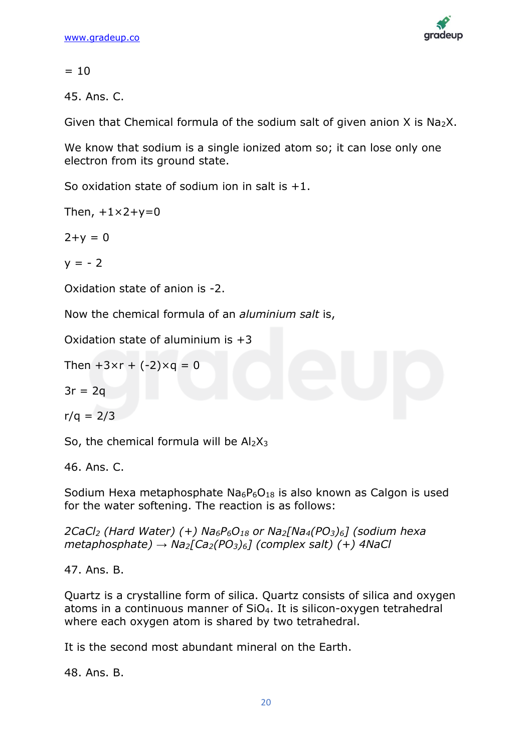

 $= 10$ 

45. Ans. C.

Given that Chemical formula of the sodium salt of given anion  $X$  is Na<sub>2</sub>X.

We know that sodium is a single ionized atom so; it can lose only one electron from its ground state.

So oxidation state of sodium ion in salt is  $+1$ .

Then,  $+1\times2+\nu=0$ 

 $2+y = 0$ 

 $y = -2$ 

Oxidation state of anion is -2.

Now the chemical formula of an *aluminium salt* is,

Oxidation state of aluminium is  $+3$ 

Then  $+3 \times r + (-2) \times q = 0$ 

$$
3r = 2q
$$

 $r/a = 2/3$ 

So, the chemical formula will be  $Al_2X_3$ 

46. Ans. C.

Sodium Hexa metaphosphate  $Na_6P_6O_{18}$  is also known as Calgon is used for the water softening. The reaction is as follows:

*2CaCl<sup>2</sup> (Hard Water) (+) Na6P6O<sup>18</sup> or Na2[Na4(PO3)6] (sodium hexa metaphosphate) → Na2[Ca2(PO3)6] (complex salt) (+) 4NaCl*

47. Ans. B.

Quartz is a crystalline form of silica. Quartz consists of silica and oxygen atoms in a continuous manner of SiO4. It is silicon-oxygen tetrahedral where each oxygen atom is shared by two tetrahedral.

It is the second most abundant mineral on the Earth.

48. Ans. B.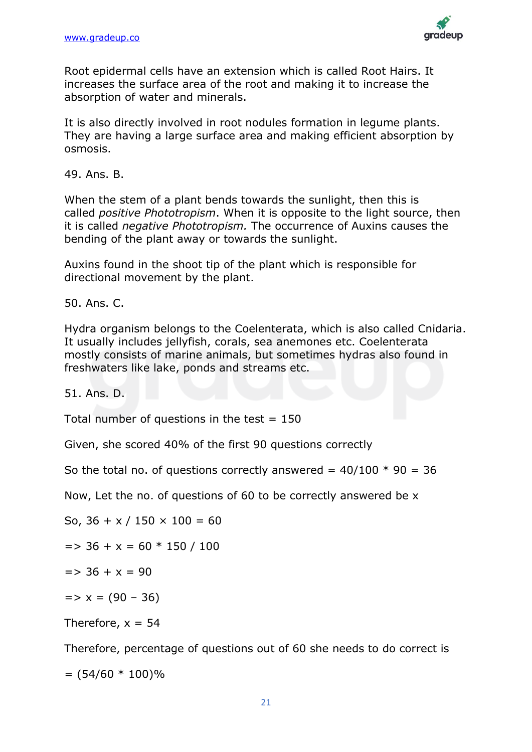

Root epidermal cells have an extension which is called Root Hairs. It increases the surface area of the root and making it to increase the absorption of water and minerals.

It is also directly involved in root nodules formation in legume plants. They are having a large surface area and making efficient absorption by osmosis.

49. Ans. B.

When the stem of a plant bends towards the sunlight, then this is called *positive Phototropism*. When it is opposite to the light source, then it is called *negative Phototropism.* The occurrence of Auxins causes the bending of the plant away or towards the sunlight.

Auxins found in the shoot tip of the plant which is responsible for directional movement by the plant.

50. Ans. C.

Hydra organism belongs to the Coelenterata, which is also called Cnidaria. It usually includes jellyfish, corals, sea anemones etc. Coelenterata mostly consists of marine animals, but sometimes hydras also found in freshwaters like lake, ponds and streams etc.

51. Ans. D.

Total number of questions in the test  $= 150$ 

Given, she scored 40% of the first 90 questions correctly

So the total no. of questions correctly answered =  $40/100 * 90 = 36$ 

Now, Let the no. of questions of 60 to be correctly answered be x

So, 
$$
36 + x / 150 \times 100 = 60
$$

 $=$  > 36 + x = 60  $*$  150 / 100

$$
=> 36 + x = 90
$$

 $=$   $\times$   $\times$   $=$  (90 – 36)

Therefore,  $x = 54$ 

Therefore, percentage of questions out of 60 she needs to do correct is

 $= (54/60 * 100)\%$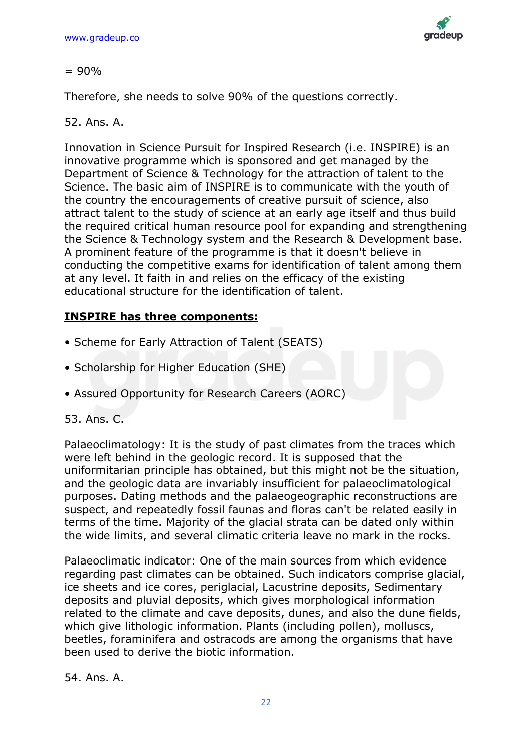

### $= 90\%$

Therefore, she needs to solve 90% of the questions correctly.

### 52. Ans. A.

Innovation in Science Pursuit for Inspired Research (i.e. INSPIRE) is an innovative programme which is sponsored and get managed by the Department of Science & Technology for the attraction of talent to the Science. The basic aim of INSPIRE is to communicate with the youth of the country the encouragements of creative pursuit of science, also attract talent to the study of science at an early age itself and thus build the required critical human resource pool for expanding and strengthening the Science & Technology system and the Research & Development base. A prominent feature of the programme is that it doesn't believe in conducting the competitive exams for identification of talent among them at any level. It faith in and relies on the efficacy of the existing educational structure for the identification of talent.

### **INSPIRE has three components:**

- Scheme for Early Attraction of Talent (SEATS)
- Scholarship for Higher Education (SHE)
- Assured Opportunity for Research Careers (AORC)

### 53. Ans. C.

Palaeoclimatology: It is the study of past climates from the traces which were left behind in the geologic record. It is supposed that the uniformitarian principle has obtained, but this might not be the situation, and the geologic data are invariably insufficient for palaeoclimatological purposes. Dating methods and the palaeogeographic reconstructions are suspect, and repeatedly fossil faunas and floras can't be related easily in terms of the time. Majority of the glacial strata can be dated only within the wide limits, and several climatic criteria leave no mark in the rocks.

Palaeoclimatic indicator: One of the main sources from which evidence regarding past climates can be obtained. Such indicators comprise glacial, ice sheets and ice cores, periglacial, Lacustrine deposits, Sedimentary deposits and pluvial deposits, which gives morphological information related to the climate and cave deposits, dunes, and also the dune fields, which give lithologic information. Plants (including pollen), molluscs, beetles, foraminifera and ostracods are among the organisms that have been used to derive the biotic information.

54. Ans. A.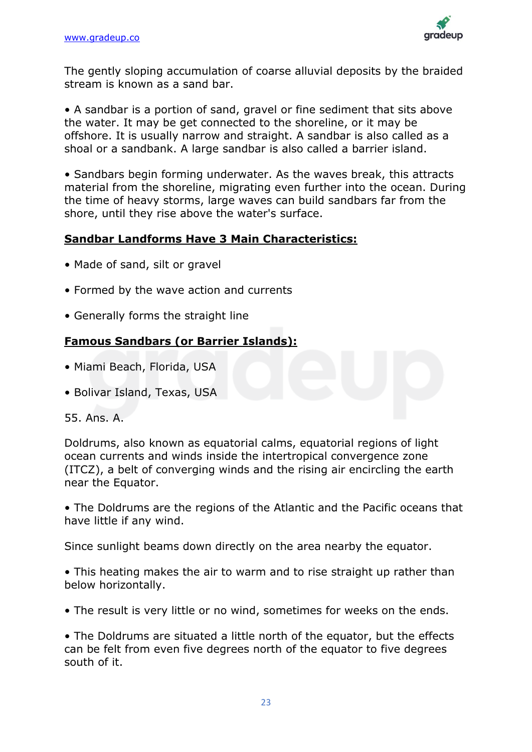

The gently sloping accumulation of coarse alluvial deposits by the braided stream is known as a sand bar.

• A sandbar is a portion of sand, gravel or fine sediment that sits above the water. It may be get connected to the shoreline, or it may be offshore. It is usually narrow and straight. A sandbar is also called as a shoal or a sandbank. A large sandbar is also called a barrier island.

• Sandbars begin forming underwater. As the waves break, this attracts material from the shoreline, migrating even further into the ocean. During the time of heavy storms, large waves can build sandbars far from the shore, until they rise above the water's surface.

### **Sandbar Landforms Have 3 Main Characteristics:**

- Made of sand, silt or gravel
- Formed by the wave action and currents
- Generally forms the straight line

### **Famous Sandbars (or Barrier Islands):**

- Miami Beach, Florida, USA
- Bolivar Island, Texas, USA

### 55. Ans. A.

Doldrums, also known as equatorial calms, equatorial regions of light ocean currents and winds inside the intertropical convergence zone (ITCZ), a belt of converging winds and the rising air encircling the earth near the Equator.

• The Doldrums are the regions of the Atlantic and the Pacific oceans that have little if any wind.

Since sunlight beams down directly on the area nearby the equator.

• This heating makes the air to warm and to rise straight up rather than below horizontally.

• The result is very little or no wind, sometimes for weeks on the ends.

• The Doldrums are situated a little north of the equator, but the effects can be felt from even five degrees north of the equator to five degrees south of it.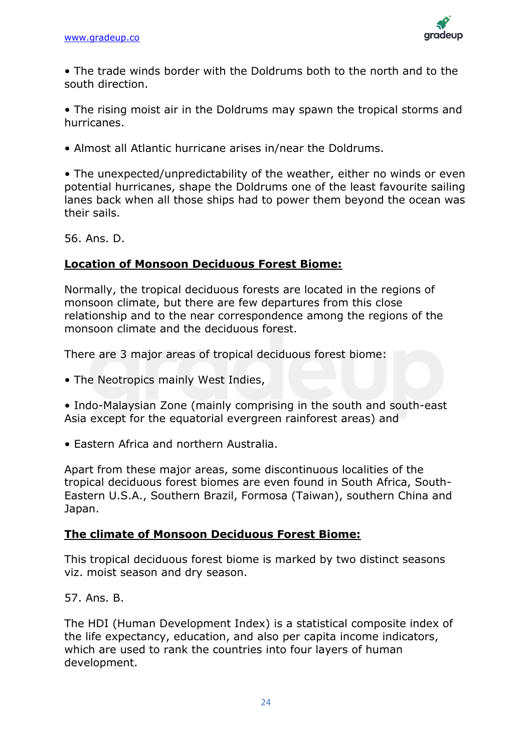

• The trade winds border with the Doldrums both to the north and to the south direction.

• The rising moist air in the Doldrums may spawn the tropical storms and hurricanes.

• Almost all Atlantic hurricane arises in/near the Doldrums.

• The unexpected/unpredictability of the weather, either no winds or even potential hurricanes, shape the Doldrums one of the least favourite sailing lanes back when all those ships had to power them beyond the ocean was their sails.

56. Ans. D.

### **Location of Monsoon Deciduous Forest Biome:**

Normally, the tropical deciduous forests are located in the regions of monsoon climate, but there are few departures from this close relationship and to the near correspondence among the regions of the monsoon climate and the deciduous forest.

There are 3 major areas of tropical deciduous forest biome:

• The Neotropics mainly West Indies,

• Indo-Malaysian Zone (mainly comprising in the south and south-east Asia except for the equatorial evergreen rainforest areas) and

• Eastern Africa and northern Australia.

Apart from these major areas, some discontinuous localities of the tropical deciduous forest biomes are even found in South Africa, South-Eastern U.S.A., Southern Brazil, Formosa (Taiwan), southern China and Japan.

### **The climate of Monsoon Deciduous Forest Biome:**

This tropical deciduous forest biome is marked by two distinct seasons viz. moist season and dry season.

57. Ans. B.

The HDI (Human Development Index) is a statistical composite index of the life expectancy, education, and also per capita income indicators, which are used to rank the countries into four layers of human development.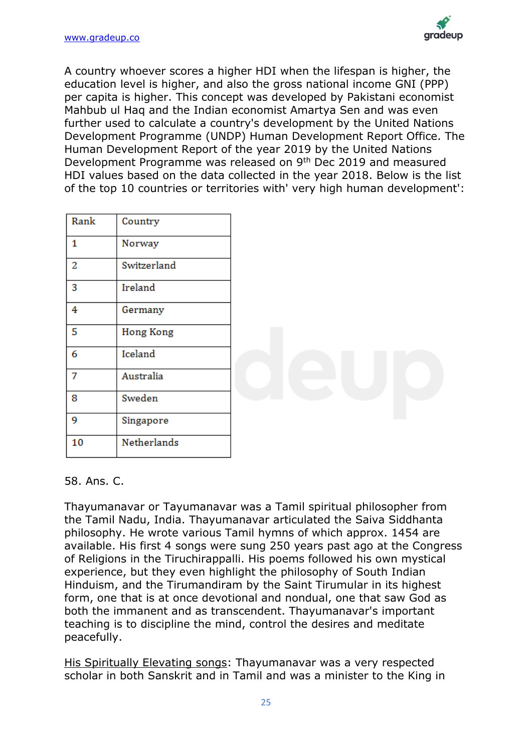

A country whoever scores a higher HDI when the lifespan is higher, the education level is higher, and also the gross national income GNI (PPP) per capita is higher. This concept was developed by Pakistani economist Mahbub ul Haq and the Indian economist Amartya Sen and was even further used to calculate a country's development by the United Nations Development Programme (UNDP) Human Development Report Office. The Human Development Report of the year 2019 by the United Nations Development Programme was released on 9th Dec 2019 and measured HDI values based on the data collected in the year 2018. Below is the list of the top 10 countries or territories with' very high human development':

| Rank | Country          |  |
|------|------------------|--|
| 1    | Norway           |  |
| 2    | Switzerland      |  |
| 3    | Ireland          |  |
| 4    | Germany          |  |
| 5    | <b>Hong Kong</b> |  |
| 6    | Iceland          |  |
| 7    | Australia        |  |
| 8    | Sweden           |  |
| 9    | Singapore        |  |
| 10   | Netherlands      |  |

### 58. Ans. C.

Thayumanavar or Tayumanavar was a Tamil spiritual philosopher from the Tamil Nadu, India. Thayumanavar articulated the Saiva Siddhanta philosophy. He wrote various Tamil hymns of which approx. 1454 are available. His first 4 songs were sung 250 years past ago at the Congress of Religions in the Tiruchirappalli. His poems followed his own mystical experience, but they even highlight the philosophy of South Indian Hinduism, and the Tirumandiram by the Saint Tirumular in its highest form, one that is at once devotional and nondual, one that saw God as both the immanent and as transcendent. Thayumanavar's important teaching is to discipline the mind, control the desires and meditate peacefully.

His Spiritually Elevating songs: Thayumanavar was a very respected scholar in both Sanskrit and in Tamil and was a minister to the King in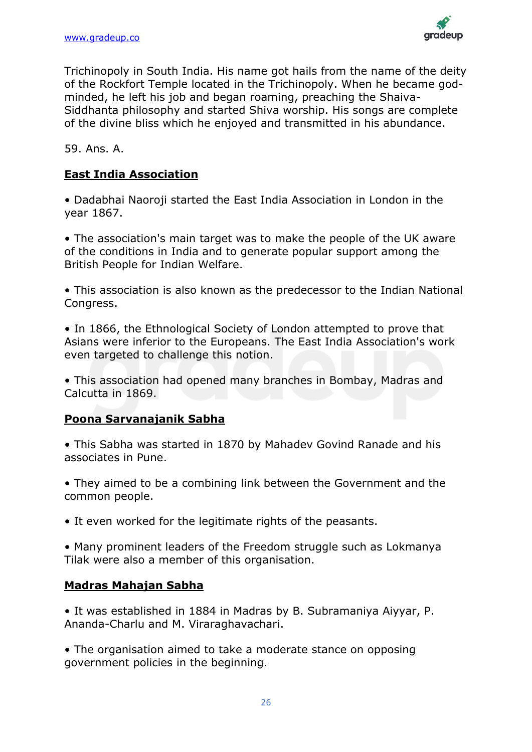

Trichinopoly in South India. His name got hails from the name of the deity of the Rockfort Temple located in the Trichinopoly. When he became godminded, he left his job and began roaming, preaching the Shaiva-Siddhanta philosophy and started Shiva worship. His songs are complete of the divine bliss which he enjoyed and transmitted in his abundance.

59. Ans. A.

### **East India Association**

• Dadabhai Naoroji started the East India Association in London in the year 1867.

• The association's main target was to make the people of the UK aware of the conditions in India and to generate popular support among the British People for Indian Welfare.

• This association is also known as the predecessor to the Indian National Congress.

• In 1866, the Ethnological Society of London attempted to prove that Asians were inferior to the Europeans. The East India Association's work even targeted to challenge this notion.

• This association had opened many branches in Bombay, Madras and Calcutta in 1869.

### **Poona Sarvanajanik Sabha**

• This Sabha was started in 1870 by Mahadev Govind Ranade and his associates in Pune.

• They aimed to be a combining link between the Government and the common people.

• It even worked for the legitimate rights of the peasants.

• Many prominent leaders of the Freedom struggle such as Lokmanya Tilak were also a member of this organisation.

### **Madras Mahajan Sabha**

• It was established in 1884 in Madras by B. Subramaniya Aiyyar, P. Ananda-Charlu and M. Viraraghavachari.

• The organisation aimed to take a moderate stance on opposing government policies in the beginning.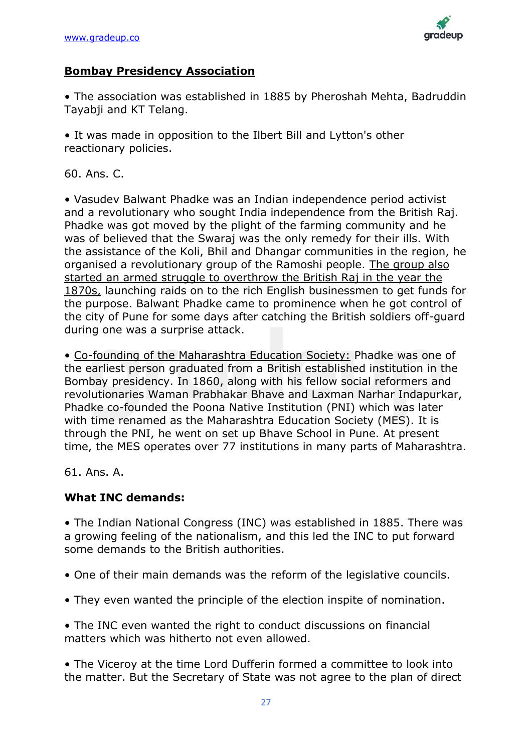

### **Bombay Presidency Association**

• The association was established in 1885 by Pheroshah Mehta, Badruddin Tayabji and KT Telang.

• It was made in opposition to the Ilbert Bill and Lytton's other reactionary policies.

60. Ans. C.

• Vasudev Balwant Phadke was an Indian independence period activist and a revolutionary who sought India independence from the British Raj. Phadke was got moved by the plight of the farming community and he was of believed that the Swaraj was the only remedy for their ills. With the assistance of the Koli, Bhil and Dhangar communities in the region, he organised a revolutionary group of the Ramoshi people. The group also started an armed struggle to overthrow the British Raj in the year the 1870s, launching raids on to the rich English businessmen to get funds for the purpose. Balwant Phadke came to prominence when he got control of the city of Pune for some days after catching the British soldiers off-guard during one was a surprise attack.

• Co-founding of the Maharashtra Education Society: Phadke was one of the earliest person graduated from a British established institution in the Bombay presidency. In 1860, along with his fellow social reformers and revolutionaries Waman Prabhakar Bhave and Laxman Narhar Indapurkar, Phadke co-founded the Poona Native Institution (PNI) which was later with time renamed as the Maharashtra Education Society (MES). It is through the PNI, he went on set up Bhave School in Pune. At present time, the MES operates over 77 institutions in many parts of Maharashtra.

61. Ans. A.

### **What INC demands:**

• The Indian National Congress (INC) was established in 1885. There was a growing feeling of the nationalism, and this led the INC to put forward some demands to the British authorities.

- One of their main demands was the reform of the legislative councils.
- They even wanted the principle of the election inspite of nomination.

• The INC even wanted the right to conduct discussions on financial matters which was hitherto not even allowed.

• The Viceroy at the time Lord Dufferin formed a committee to look into the matter. But the Secretary of State was not agree to the plan of direct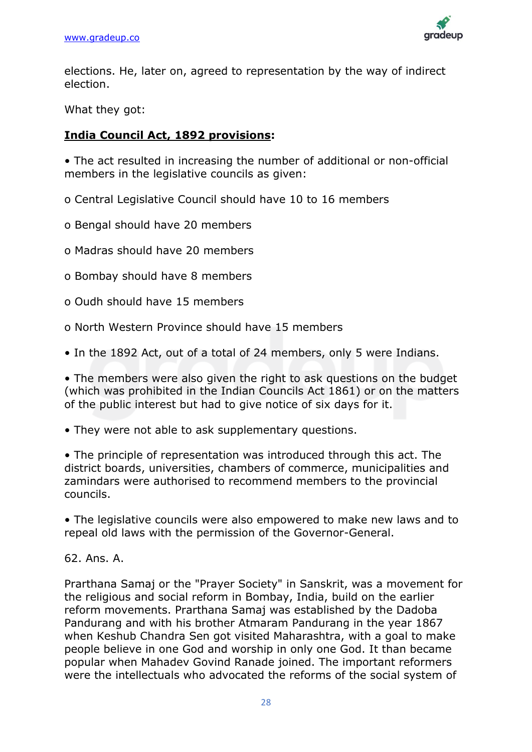

elections. He, later on, agreed to representation by the way of indirect election.

What they got:

### **India Council Act, 1892 provisions:**

• The act resulted in increasing the number of additional or non-official members in the legislative councils as given:

o Central Legislative Council should have 10 to 16 members

o Bengal should have 20 members

o Madras should have 20 members

- o Bombay should have 8 members
- o Oudh should have 15 members
- o North Western Province should have 15 members

• In the 1892 Act, out of a total of 24 members, only 5 were Indians.

• The members were also given the right to ask questions on the budget (which was prohibited in the Indian Councils Act 1861) or on the matters of the public interest but had to give notice of six days for it.

• They were not able to ask supplementary questions.

• The principle of representation was introduced through this act. The district boards, universities, chambers of commerce, municipalities and zamindars were authorised to recommend members to the provincial councils.

• The legislative councils were also empowered to make new laws and to repeal old laws with the permission of the Governor-General.

62. Ans. A.

Prarthana Samaj or the "Prayer Society" in Sanskrit, was a movement for the religious and social reform in Bombay, India, build on the earlier reform movements. Prarthana Samaj was established by the Dadoba Pandurang and with his brother Atmaram Pandurang in the year 1867 when Keshub Chandra Sen got visited Maharashtra, with a goal to make people believe in one God and worship in only one God. It than became popular when Mahadev Govind Ranade joined. The important reformers were the intellectuals who advocated the reforms of the social system of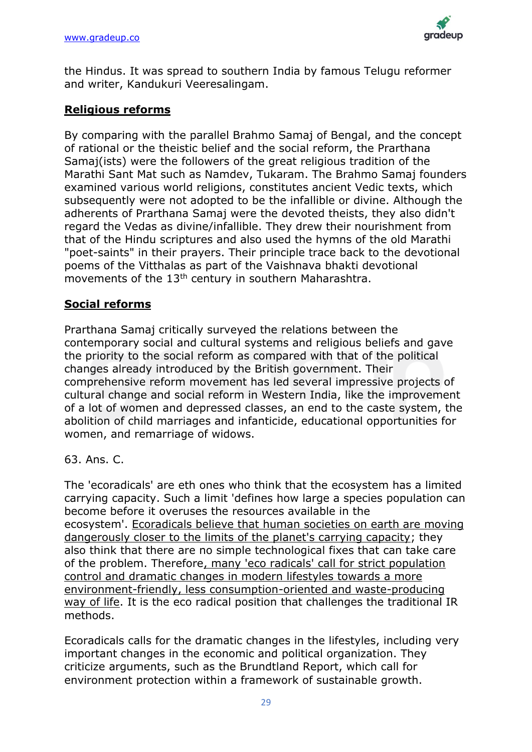

the Hindus. It was spread to southern India by famous Telugu reformer and writer, Kandukuri Veeresalingam.

### **Religious reforms**

By comparing with the parallel Brahmo Samaj of Bengal, and the concept of rational or the theistic belief and the social reform, the Prarthana Samaj(ists) were the followers of the great religious tradition of the Marathi Sant Mat such as Namdev, Tukaram. The Brahmo Samaj founders examined various world religions, constitutes ancient Vedic texts, which subsequently were not adopted to be the infallible or divine. Although the adherents of Prarthana Samaj were the devoted theists, they also didn't regard the Vedas as divine/infallible. They drew their nourishment from that of the Hindu scriptures and also used the hymns of the old Marathi "poet-saints" in their prayers. Their principle trace back to the devotional poems of the Vitthalas as part of the Vaishnava bhakti devotional movements of the 13<sup>th</sup> century in southern Maharashtra.

### **Social reforms**

Prarthana Samaj critically surveyed the relations between the contemporary social and cultural systems and religious beliefs and gave the priority to the social reform as compared with that of the political changes already introduced by the British government. Their comprehensive reform movement has led several impressive projects of cultural change and social reform in Western India, like the improvement of a lot of women and depressed classes, an end to the caste system, the abolition of child marriages and infanticide, educational opportunities for women, and remarriage of widows.

### 63. Ans. C.

The 'ecoradicals' are eth ones who think that the ecosystem has a limited carrying capacity. Such a limit 'defines how large a species population can become before it overuses the resources available in the ecosystem'. Ecoradicals believe that human societies on earth are moving dangerously closer to the limits of the planet's carrying capacity; they also think that there are no simple technological fixes that can take care of the problem. Therefore, many 'eco radicals' call for strict population control and dramatic changes in modern lifestyles towards a more environment-friendly, less consumption-oriented and waste-producing way of life. It is the eco radical position that challenges the traditional IR methods.

Ecoradicals calls for the dramatic changes in the lifestyles, including very important changes in the economic and political organization. They criticize arguments, such as the Brundtland Report, which call for environment protection within a framework of sustainable growth.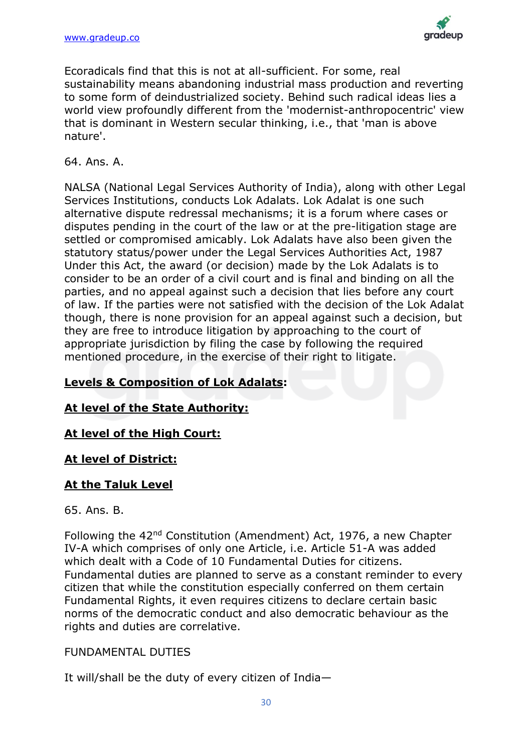

Ecoradicals find that this is not at all-sufficient. For some, real sustainability means abandoning industrial mass production and reverting to some form of deindustrialized society. Behind such radical ideas lies a world view profoundly different from the 'modernist-anthropocentric' view that is dominant in Western secular thinking, i.e., that 'man is above nature'.

### 64. Ans. A.

NALSA (National Legal Services Authority of India), along with other Legal Services Institutions, conducts Lok Adalats. Lok Adalat is one such alternative dispute redressal mechanisms; it is a forum where cases or disputes pending in the court of the law or at the pre-litigation stage are settled or compromised amicably. Lok Adalats have also been given the statutory status/power under the Legal Services Authorities Act, 1987 Under this Act, the award (or decision) made by the Lok Adalats is to consider to be an order of a civil court and is final and binding on all the parties, and no appeal against such a decision that lies before any court of law. If the parties were not satisfied with the decision of the Lok Adalat though, there is none provision for an appeal against such a decision, but they are free to introduce litigation by approaching to the court of appropriate jurisdiction by filing the case by following the required mentioned procedure, in the exercise of their right to litigate.

### **Levels & Composition of Lok Adalats:**

### **At level of the State Authority:**

### **At level of the High Court:**

### **At level of District:**

### **At the Taluk Level**

### 65. Ans. B.

Following the 42nd Constitution (Amendment) Act, 1976, a new Chapter IV-A which comprises of only one Article, i.e. Article 51-A was added which dealt with a Code of 10 Fundamental Duties for citizens. Fundamental duties are planned to serve as a constant reminder to every citizen that while the constitution especially conferred on them certain Fundamental Rights, it even requires citizens to declare certain basic norms of the democratic conduct and also democratic behaviour as the rights and duties are correlative.

### FUNDAMENTAL DUTIES

It will/shall be the duty of every citizen of India—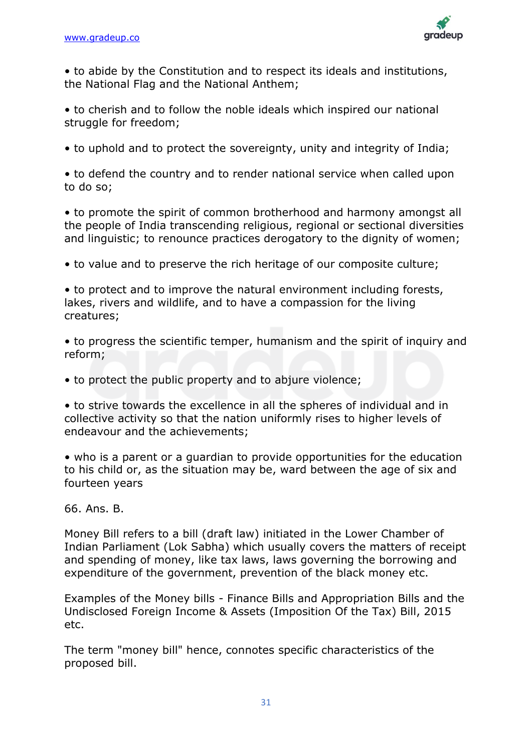

• to abide by the Constitution and to respect its ideals and institutions, the National Flag and the National Anthem;

• to cherish and to follow the noble ideals which inspired our national struggle for freedom;

• to uphold and to protect the sovereignty, unity and integrity of India;

• to defend the country and to render national service when called upon to do so;

• to promote the spirit of common brotherhood and harmony amongst all the people of India transcending religious, regional or sectional diversities and linguistic; to renounce practices derogatory to the dignity of women;

• to value and to preserve the rich heritage of our composite culture;

• to protect and to improve the natural environment including forests, lakes, rivers and wildlife, and to have a compassion for the living creatures;

• to progress the scientific temper, humanism and the spirit of inquiry and reform;

• to protect the public property and to abjure violence;

• to strive towards the excellence in all the spheres of individual and in collective activity so that the nation uniformly rises to higher levels of endeavour and the achievements;

• who is a parent or a guardian to provide opportunities for the education to his child or, as the situation may be, ward between the age of six and fourteen years

66. Ans. B.

Money Bill refers to a bill (draft law) initiated in the Lower Chamber of Indian Parliament (Lok Sabha) which usually covers the matters of receipt and spending of money, like tax laws, laws governing the borrowing and expenditure of the government, prevention of the black money etc.

Examples of the Money bills - Finance Bills and Appropriation Bills and the Undisclosed Foreign Income & Assets (Imposition Of the Tax) Bill, 2015 etc.

The term "money bill" hence, connotes specific characteristics of the proposed bill.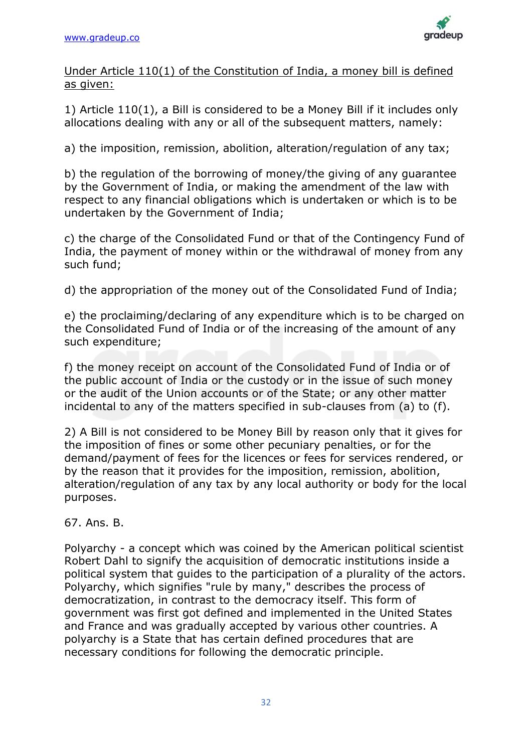

Under Article 110(1) of the Constitution of India, a money bill is defined as given:

1) Article 110(1), a Bill is considered to be a Money Bill if it includes only allocations dealing with any or all of the subsequent matters, namely:

a) the imposition, remission, abolition, alteration/regulation of any tax;

b) the regulation of the borrowing of money/the giving of any guarantee by the Government of India, or making the amendment of the law with respect to any financial obligations which is undertaken or which is to be undertaken by the Government of India;

c) the charge of the Consolidated Fund or that of the Contingency Fund of India, the payment of money within or the withdrawal of money from any such fund;

d) the appropriation of the money out of the Consolidated Fund of India;

e) the proclaiming/declaring of any expenditure which is to be charged on the Consolidated Fund of India or of the increasing of the amount of any such expenditure;

f) the money receipt on account of the Consolidated Fund of India or of the public account of India or the custody or in the issue of such money or the audit of the Union accounts or of the State; or any other matter incidental to any of the matters specified in sub-clauses from (a) to (f).

2) A Bill is not considered to be Money Bill by reason only that it gives for the imposition of fines or some other pecuniary penalties, or for the demand/payment of fees for the licences or fees for services rendered, or by the reason that it provides for the imposition, remission, abolition, alteration/regulation of any tax by any local authority or body for the local purposes.

67. Ans. B.

Polyarchy - a concept which was coined by the American political scientist Robert Dahl to signify the acquisition of democratic institutions inside a political system that guides to the participation of a plurality of the actors. Polyarchy, which signifies "rule by many," describes the process of democratization, in contrast to the democracy itself. This form of government was first got defined and implemented in the United States and France and was gradually accepted by various other countries. A polyarchy is a State that has certain defined procedures that are necessary conditions for following the democratic principle.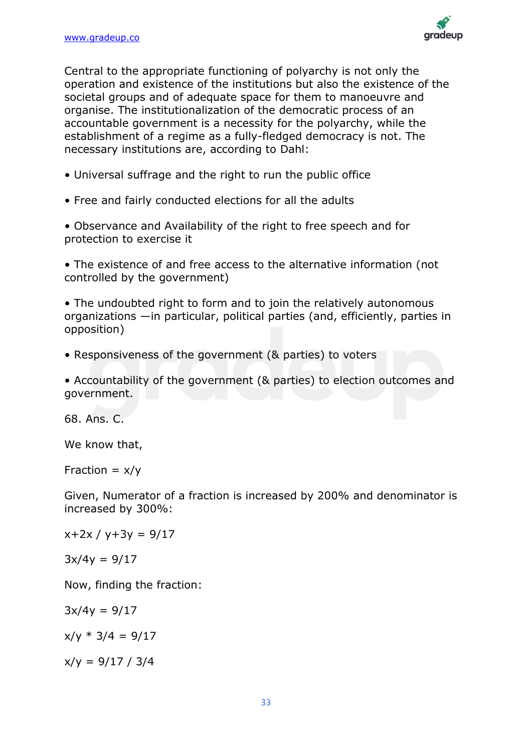

Central to the appropriate functioning of polyarchy is not only the operation and existence of the institutions but also the existence of the societal groups and of adequate space for them to manoeuvre and organise. The institutionalization of the democratic process of an accountable government is a necessity for the polyarchy, while the establishment of a regime as a fully-fledged democracy is not. The necessary institutions are, according to Dahl:

- Universal suffrage and the right to run the public office
- Free and fairly conducted elections for all the adults

• Observance and Availability of the right to free speech and for protection to exercise it

• The existence of and free access to the alternative information (not controlled by the government)

• The undoubted right to form and to join the relatively autonomous organizations —in particular, political parties (and, efficiently, parties in opposition)

• Responsiveness of the government (& parties) to voters

• Accountability of the government (& parties) to election outcomes and government.

68. Ans. C.

We know that,

Fraction  $= x/y$ 

Given, Numerator of a fraction is increased by 200% and denominator is increased by 300%:

 $x+2x / y+3y = 9/17$ 

 $3x/4y = 9/17$ 

Now, finding the fraction:

 $3x/4y = 9/17$ 

 $x/y * 3/4 = 9/17$ 

 $x/y = 9/17 / 3/4$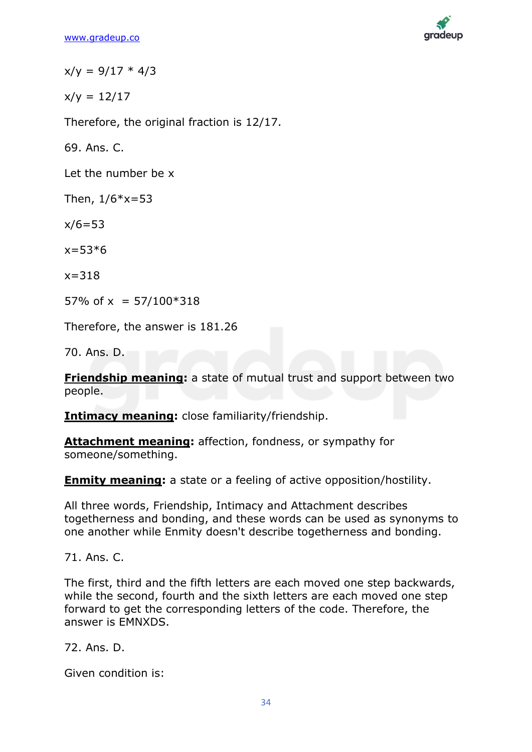

 $x/y = 9/17 * 4/3$ 

 $x/v = 12/17$ 

Therefore, the original fraction is 12/17.

69. Ans. C.

Let the number be x

Then,  $1/6*x = 53$ 

 $x/6 = 53$ 

 $x=53*6$ 

 $x = 318$ 

57% of  $x = 57/100*318$ 

Therefore, the answer is 181.26

70. Ans. D.

**Friendship meaning:** a state of mutual trust and support between two people.

**Intimacy meaning:** close familiarity/friendship.

**Attachment meaning:** affection, fondness, or sympathy for someone/something.

**Enmity meaning:** a state or a feeling of active opposition/hostility.

All three words, Friendship, Intimacy and Attachment describes togetherness and bonding, and these words can be used as synonyms to one another while Enmity doesn't describe togetherness and bonding.

71. Ans. C.

The first, third and the fifth letters are each moved one step backwards, while the second, fourth and the sixth letters are each moved one step forward to get the corresponding letters of the code. Therefore, the answer is EMNXDS.

72. Ans. D.

Given condition is: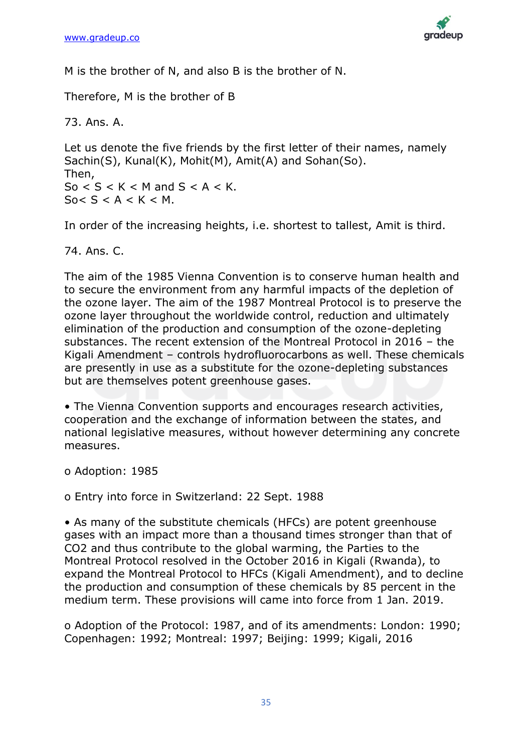

M is the brother of N, and also B is the brother of N.

Therefore, M is the brother of B

73. Ans. A.

Let us denote the five friends by the first letter of their names, namely Sachin(S), Kunal(K), Mohit(M), Amit(A) and Sohan(So). Then, So  $<$  S  $<$  K  $<$  M and S  $<$  A  $<$  K.  $S_0 < S < A < K < M$ .

In order of the increasing heights, i.e. shortest to tallest, Amit is third.

74. Ans. C.

The aim of the 1985 Vienna Convention is to conserve human health and to secure the environment from any harmful impacts of the depletion of the ozone layer. The aim of the 1987 Montreal Protocol is to preserve the ozone layer throughout the worldwide control, reduction and ultimately elimination of the production and consumption of the ozone-depleting substances. The recent extension of the Montreal Protocol in 2016 – the Kigali Amendment – controls hydrofluorocarbons as well. These chemicals are presently in use as a substitute for the ozone-depleting substances but are themselves potent greenhouse gases.

• The Vienna Convention supports and encourages research activities, cooperation and the exchange of information between the states, and national legislative measures, without however determining any concrete measures.

o Adoption: 1985

o Entry into force in Switzerland: 22 Sept. 1988

• As many of the substitute chemicals (HFCs) are potent greenhouse gases with an impact more than a thousand times stronger than that of CO2 and thus contribute to the global warming, the Parties to the Montreal Protocol resolved in the October 2016 in Kigali (Rwanda), to expand the Montreal Protocol to HFCs (Kigali Amendment), and to decline the production and consumption of these chemicals by 85 percent in the medium term. These provisions will came into force from 1 Jan. 2019.

o Adoption of the Protocol: 1987, and of its amendments: London: 1990; Copenhagen: 1992; Montreal: 1997; Beijing: 1999; Kigali, 2016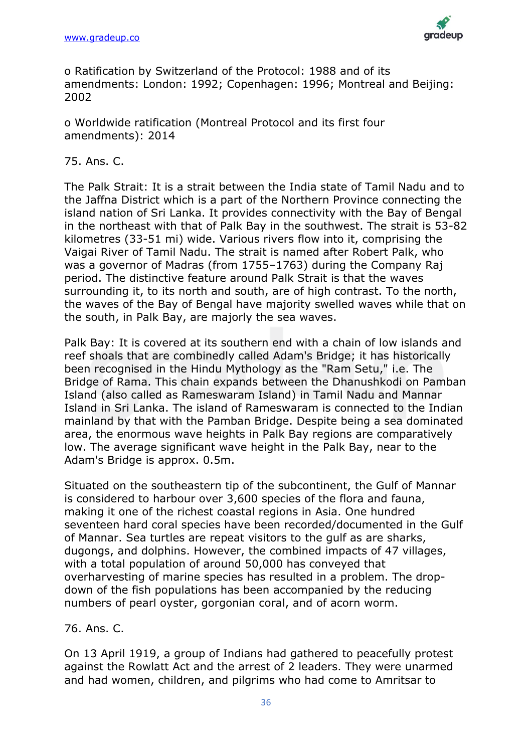

o Ratification by Switzerland of the Protocol: 1988 and of its amendments: London: 1992; Copenhagen: 1996; Montreal and Beijing: 2002

o Worldwide ratification (Montreal Protocol and its first four amendments): 2014

### 75. Ans. C.

The Palk Strait: It is a strait between the India state of Tamil Nadu and to the Jaffna District which is a part of the Northern Province connecting the island nation of Sri Lanka. It provides connectivity with the Bay of Bengal in the northeast with that of Palk Bay in the southwest. The strait is 53-82 kilometres (33-51 mi) wide. Various rivers flow into it, comprising the Vaigai River of Tamil Nadu. The strait is named after Robert Palk, who was a governor of Madras (from 1755–1763) during the Company Raj period. The distinctive feature around Palk Strait is that the waves surrounding it, to its north and south, are of high contrast. To the north, the waves of the Bay of Bengal have majority swelled waves while that on the south, in Palk Bay, are majorly the sea waves.

Palk Bay: It is covered at its southern end with a chain of low islands and reef shoals that are combinedly called Adam's Bridge; it has historically been recognised in the Hindu Mythology as the "Ram Setu," i.e. The Bridge of Rama. This chain expands between the Dhanushkodi on Pamban Island (also called as Rameswaram Island) in Tamil Nadu and Mannar Island in Sri Lanka. The island of Rameswaram is connected to the Indian mainland by that with the Pamban Bridge. Despite being a sea dominated area, the enormous wave heights in Palk Bay regions are comparatively low. The average significant wave height in the Palk Bay, near to the Adam's Bridge is approx. 0.5m.

Situated on the southeastern tip of the subcontinent, the Gulf of Mannar is considered to harbour over 3,600 species of the flora and fauna, making it one of the richest coastal regions in Asia. One hundred seventeen hard coral species have been recorded/documented in the Gulf of Mannar. Sea turtles are repeat visitors to the gulf as are sharks, dugongs, and dolphins. However, the combined impacts of 47 villages, with a total population of around 50,000 has conveyed that overharvesting of marine species has resulted in a problem. The dropdown of the fish populations has been accompanied by the reducing numbers of pearl oyster, gorgonian coral, and of acorn worm.

### 76. Ans. C.

On 13 April 1919, a group of Indians had gathered to peacefully protest against the Rowlatt Act and the arrest of 2 leaders. They were unarmed and had women, children, and pilgrims who had come to Amritsar to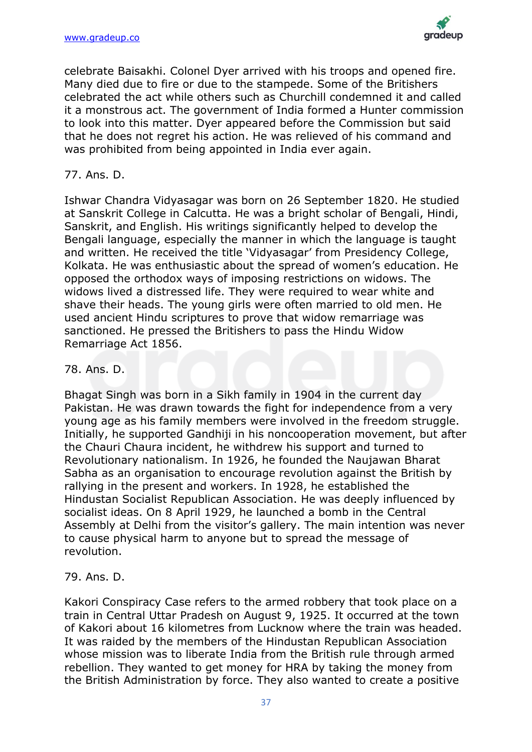

celebrate Baisakhi. Colonel Dyer arrived with his troops and opened fire. Many died due to fire or due to the stampede. Some of the Britishers celebrated the act while others such as Churchill condemned it and called it a monstrous act. The government of India formed a Hunter commission to look into this matter. Dyer appeared before the Commission but said that he does not regret his action. He was relieved of his command and was prohibited from being appointed in India ever again.

### 77. Ans. D.

Ishwar Chandra Vidyasagar was born on 26 September 1820. He studied at Sanskrit College in Calcutta. He was a bright scholar of Bengali, Hindi, Sanskrit, and English. His writings significantly helped to develop the Bengali language, especially the manner in which the language is taught and written. He received the title 'Vidyasagar' from Presidency College, Kolkata. He was enthusiastic about the spread of women's education. He opposed the orthodox ways of imposing restrictions on widows. The widows lived a distressed life. They were required to wear white and shave their heads. The young girls were often married to old men. He used ancient Hindu scriptures to prove that widow remarriage was sanctioned. He pressed the Britishers to pass the Hindu Widow Remarriage Act 1856.

### 78. Ans. D.

Bhagat Singh was born in a Sikh family in 1904 in the current day Pakistan. He was drawn towards the fight for independence from a very young age as his family members were involved in the freedom struggle. Initially, he supported Gandhiji in his noncooperation movement, but after the Chauri Chaura incident, he withdrew his support and turned to Revolutionary nationalism. In 1926, he founded the Naujawan Bharat Sabha as an organisation to encourage revolution against the British by rallying in the present and workers. In 1928, he established the Hindustan Socialist Republican Association. He was deeply influenced by socialist ideas. On 8 April 1929, he launched a bomb in the Central Assembly at Delhi from the visitor's gallery. The main intention was never to cause physical harm to anyone but to spread the message of revolution.

### 79. Ans. D.

Kakori Conspiracy Case refers to the armed robbery that took place on a train in Central Uttar Pradesh on August 9, 1925. It occurred at the town of Kakori about 16 kilometres from Lucknow where the train was headed. It was raided by the members of the Hindustan Republican Association whose mission was to liberate India from the British rule through armed rebellion. They wanted to get money for HRA by taking the money from the British Administration by force. They also wanted to create a positive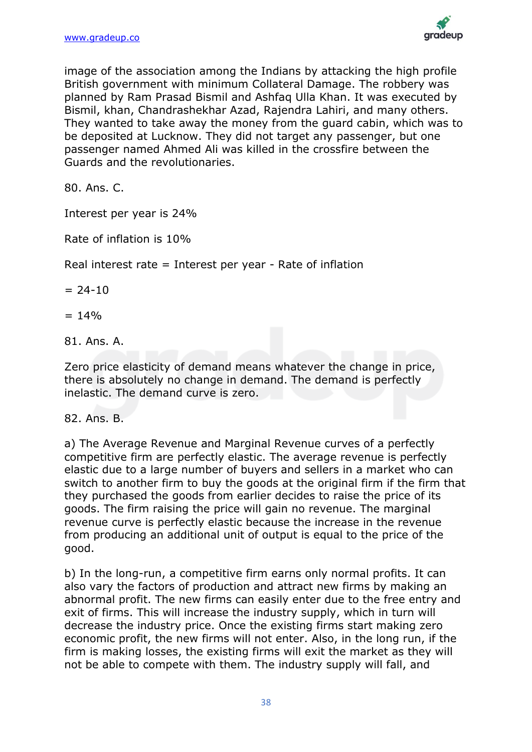

image of the association among the Indians by attacking the high profile British government with minimum Collateral Damage. The robbery was planned by Ram Prasad Bismil and Ashfaq Ulla Khan. It was executed by Bismil, khan, Chandrashekhar Azad, Rajendra Lahiri, and many others. They wanted to take away the money from the guard cabin, which was to be deposited at Lucknow. They did not target any passenger, but one passenger named Ahmed Ali was killed in the crossfire between the Guards and the revolutionaries.

80. Ans. C.

Interest per year is 24%

Rate of inflation is 10%

Real interest rate = Interest per year - Rate of inflation

 $= 24-10$ 

 $= 14\%$ 

81. Ans. A.

Zero price elasticity of demand means whatever the change in price, there is absolutely no change in demand. The demand is perfectly inelastic. The demand curve is zero.

### 82. Ans. B.

a) The Average Revenue and Marginal Revenue curves of a perfectly competitive firm are perfectly elastic. The average revenue is perfectly elastic due to a large number of buyers and sellers in a market who can switch to another firm to buy the goods at the original firm if the firm that they purchased the goods from earlier decides to raise the price of its goods. The firm raising the price will gain no revenue. The marginal revenue curve is perfectly elastic because the increase in the revenue from producing an additional unit of output is equal to the price of the good.

b) In the long-run, a competitive firm earns only normal profits. It can also vary the factors of production and attract new firms by making an abnormal profit. The new firms can easily enter due to the free entry and exit of firms. This will increase the industry supply, which in turn will decrease the industry price. Once the existing firms start making zero economic profit, the new firms will not enter. Also, in the long run, if the firm is making losses, the existing firms will exit the market as they will not be able to compete with them. The industry supply will fall, and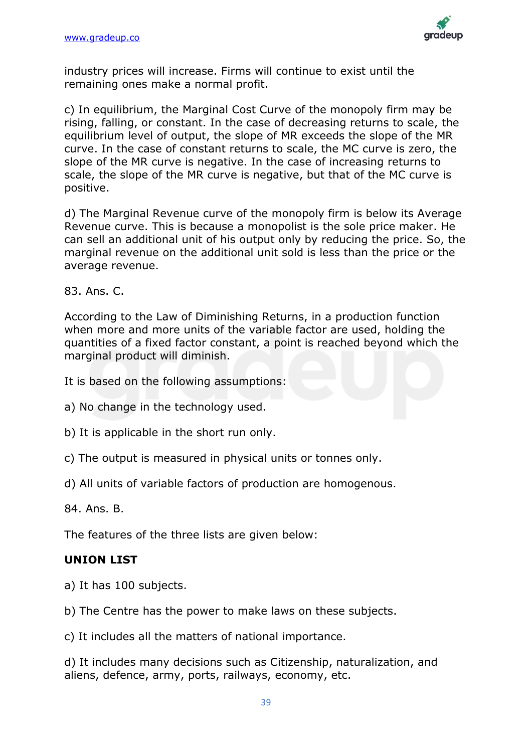

industry prices will increase. Firms will continue to exist until the remaining ones make a normal profit.

c) In equilibrium, the Marginal Cost Curve of the monopoly firm may be rising, falling, or constant. In the case of decreasing returns to scale, the equilibrium level of output, the slope of MR exceeds the slope of the MR curve. In the case of constant returns to scale, the MC curve is zero, the slope of the MR curve is negative. In the case of increasing returns to scale, the slope of the MR curve is negative, but that of the MC curve is positive.

d) The Marginal Revenue curve of the monopoly firm is below its Average Revenue curve. This is because a monopolist is the sole price maker. He can sell an additional unit of his output only by reducing the price. So, the marginal revenue on the additional unit sold is less than the price or the average revenue.

83. Ans. C.

According to the Law of Diminishing Returns, in a production function when more and more units of the variable factor are used, holding the quantities of a fixed factor constant, a point is reached beyond which the marginal product will diminish.

It is based on the following assumptions:

a) No change in the technology used.

b) It is applicable in the short run only.

c) The output is measured in physical units or tonnes only.

d) All units of variable factors of production are homogenous.

84. Ans. B.

The features of the three lists are given below:

### **UNION LIST**

a) It has 100 subjects.

b) The Centre has the power to make laws on these subjects.

c) It includes all the matters of national importance.

d) It includes many decisions such as Citizenship, naturalization, and aliens, defence, army, ports, railways, economy, etc.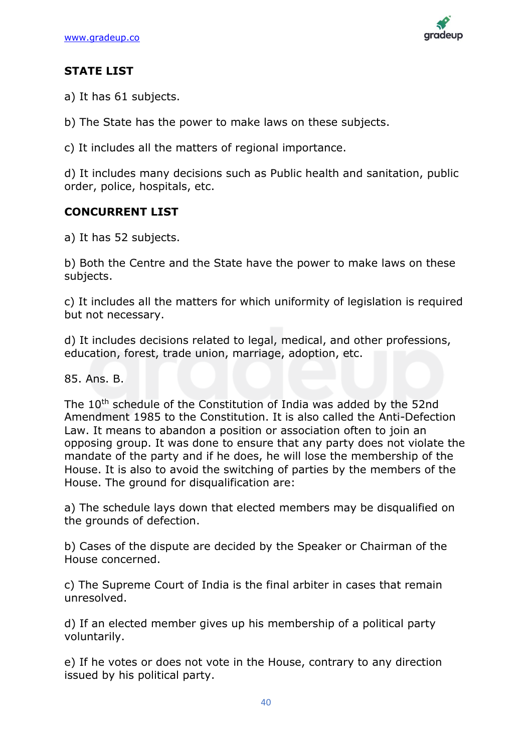

### **STATE LIST**

a) It has 61 subjects.

b) The State has the power to make laws on these subjects.

c) It includes all the matters of regional importance.

d) It includes many decisions such as Public health and sanitation, public order, police, hospitals, etc.

### **CONCURRENT LIST**

a) It has 52 subjects.

b) Both the Centre and the State have the power to make laws on these subjects.

c) It includes all the matters for which uniformity of legislation is required but not necessary.

d) It includes decisions related to legal, medical, and other professions, education, forest, trade union, marriage, adoption, etc.

85. Ans. B.

The 10<sup>th</sup> schedule of the Constitution of India was added by the 52nd Amendment 1985 to the Constitution. It is also called the Anti-Defection Law. It means to abandon a position or association often to join an opposing group. It was done to ensure that any party does not violate the mandate of the party and if he does, he will lose the membership of the House. It is also to avoid the switching of parties by the members of the House. The ground for disqualification are:

a) The schedule lays down that elected members may be disqualified on the grounds of defection.

b) Cases of the dispute are decided by the Speaker or Chairman of the House concerned.

c) The Supreme Court of India is the final arbiter in cases that remain unresolved.

d) If an elected member gives up his membership of a political party voluntarily.

e) If he votes or does not vote in the House, contrary to any direction issued by his political party.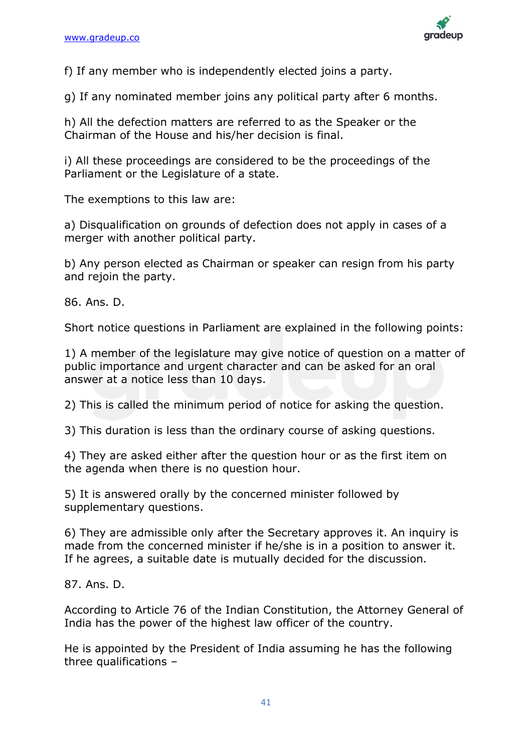

f) If any member who is independently elected joins a party.

g) If any nominated member joins any political party after 6 months.

h) All the defection matters are referred to as the Speaker or the Chairman of the House and his/her decision is final.

i) All these proceedings are considered to be the proceedings of the Parliament or the Legislature of a state.

The exemptions to this law are:

a) Disqualification on grounds of defection does not apply in cases of a merger with another political party.

b) Any person elected as Chairman or speaker can resign from his party and rejoin the party.

86. Ans. D.

Short notice questions in Parliament are explained in the following points:

1) A member of the legislature may give notice of question on a matter of public importance and urgent character and can be asked for an oral answer at a notice less than 10 days.

2) This is called the minimum period of notice for asking the question.

3) This duration is less than the ordinary course of asking questions.

4) They are asked either after the question hour or as the first item on the agenda when there is no question hour.

5) It is answered orally by the concerned minister followed by supplementary questions.

6) They are admissible only after the Secretary approves it. An inquiry is made from the concerned minister if he/she is in a position to answer it. If he agrees, a suitable date is mutually decided for the discussion.

87. Ans. D.

According to Article 76 of the Indian Constitution, the Attorney General of India has the power of the highest law officer of the country.

He is appointed by the President of India assuming he has the following three qualifications –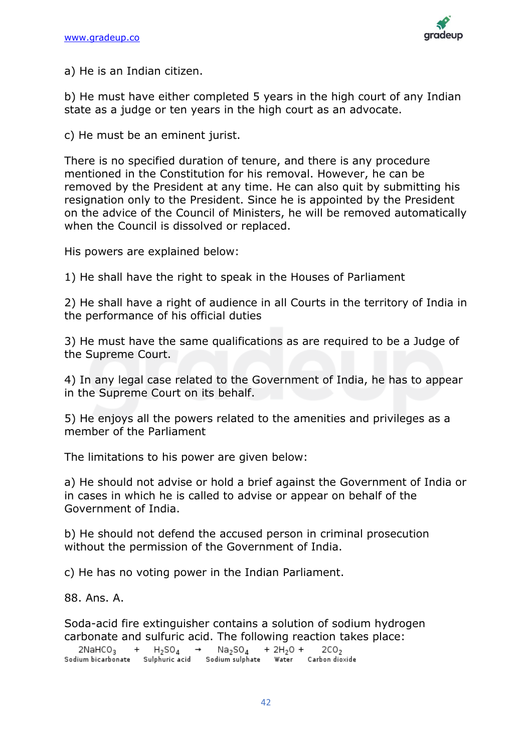

a) He is an Indian citizen.

b) He must have either completed 5 years in the high court of any Indian state as a judge or ten years in the high court as an advocate.

c) He must be an eminent jurist.

There is no specified duration of tenure, and there is any procedure mentioned in the Constitution for his removal. However, he can be removed by the President at any time. He can also quit by submitting his resignation only to the President. Since he is appointed by the President on the advice of the Council of Ministers, he will be removed automatically when the Council is dissolved or replaced.

His powers are explained below:

1) He shall have the right to speak in the Houses of Parliament

2) He shall have a right of audience in all Courts in the territory of India in the performance of his official duties

3) He must have the same qualifications as are required to be a Judge of the Supreme Court.

4) In any legal case related to the Government of India, he has to appear in the Supreme Court on its behalf.

5) He enjoys all the powers related to the amenities and privileges as a member of the Parliament

The limitations to his power are given below:

a) He should not advise or hold a brief against the Government of India or in cases in which he is called to advise or appear on behalf of the Government of India.

b) He should not defend the accused person in criminal prosecution without the permission of the Government of India.

c) He has no voting power in the Indian Parliament.

88. Ans. A.

Soda-acid fire extinguisher contains a solution of sodium hydrogen carbonate and sulfuric acid. The following reaction takes place:

| 2NaHCO <sub>3</sub> | $H_2SO_4$      | Na <sub>2</sub> SO <sub>4</sub> | $+ 2H_2O +$ | 2CO <sub>2</sub> |
|---------------------|----------------|---------------------------------|-------------|------------------|
| Sodium bicarbonate  | Sulphuric acid | Sodium sulphate                 | Water       | Carbon dioxide   |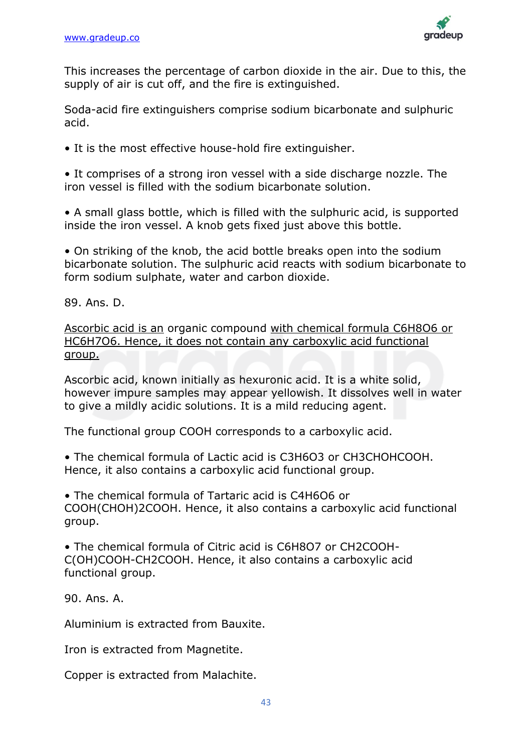

This increases the percentage of carbon dioxide in the air. Due to this, the supply of air is cut off, and the fire is extinguished.

Soda-acid fire extinguishers comprise sodium bicarbonate and sulphuric acid.

• It is the most effective house-hold fire extinguisher.

• It comprises of a strong iron vessel with a side discharge nozzle. The iron vessel is filled with the sodium bicarbonate solution.

• A small glass bottle, which is filled with the sulphuric acid, is supported inside the iron vessel. A knob gets fixed just above this bottle.

• On striking of the knob, the acid bottle breaks open into the sodium bicarbonate solution. The sulphuric acid reacts with sodium bicarbonate to form sodium sulphate, water and carbon dioxide.

89. Ans. D.

Ascorbic acid is an organic compound with chemical formula C6H8O6 or HC6H7O6. Hence, it does not contain any carboxylic acid functional group.

Ascorbic acid, known initially as hexuronic acid. It is a white solid, however impure samples may appear yellowish. It dissolves well in water to give a mildly acidic solutions. It is a mild reducing agent.

The functional group COOH corresponds to a carboxylic acid.

• The chemical formula of Lactic acid is C3H6O3 or CH3CHOHCOOH. Hence, it also contains a carboxylic acid functional group.

• The chemical formula of Tartaric acid is C4H6O6 or COOH(CHOH)2COOH. Hence, it also contains a carboxylic acid functional group.

• The chemical formula of Citric acid is C6H8O7 or CH2COOH-C(OH)COOH-CH2COOH. Hence, it also contains a carboxylic acid functional group.

90. Ans. A.

Aluminium is extracted from Bauxite.

Iron is extracted from Magnetite.

Copper is extracted from Malachite.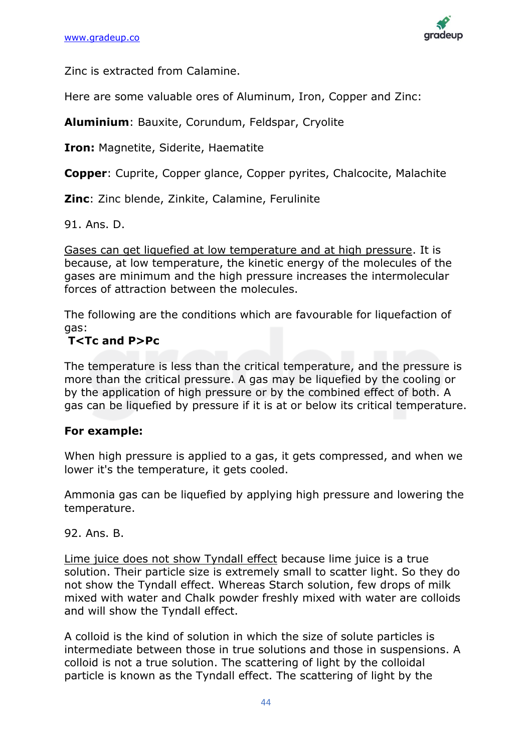

Zinc is extracted from Calamine.

Here are some valuable ores of Aluminum, Iron, Copper and Zinc:

**Aluminium**: Bauxite, Corundum, Feldspar, Cryolite

**Iron:** Magnetite, Siderite, Haematite

**Copper**: Cuprite, Copper glance, Copper pyrites, Chalcocite, Malachite

**Zinc**: Zinc blende, Zinkite, Calamine, Ferulinite

91. Ans. D.

Gases can get liquefied at low temperature and at high pressure. It is because, at low temperature, the kinetic energy of the molecules of the gases are minimum and the high pressure increases the intermolecular forces of attraction between the molecules.

The following are the conditions which are favourable for liquefaction of gas:

### **T<Tc and P>Pc**

The temperature is less than the critical temperature, and the pressure is more than the critical pressure. A gas may be liquefied by the cooling or by the application of high pressure or by the combined effect of both. A gas can be liquefied by pressure if it is at or below its critical temperature.

### **For example:**

When high pressure is applied to a gas, it gets compressed, and when we lower it's the temperature, it gets cooled.

Ammonia gas can be liquefied by applying high pressure and lowering the temperature.

92. Ans. B.

Lime juice does not show Tyndall effect because lime juice is a true solution. Their particle size is extremely small to scatter light. So they do not show the Tyndall effect. Whereas Starch solution, few drops of milk mixed with water and Chalk powder freshly mixed with water are colloids and will show the Tyndall effect.

A colloid is the kind of solution in which the size of solute particles is intermediate between those in true solutions and those in suspensions. A colloid is not a true solution. The scattering of light by the colloidal particle is known as the Tyndall effect. The scattering of light by the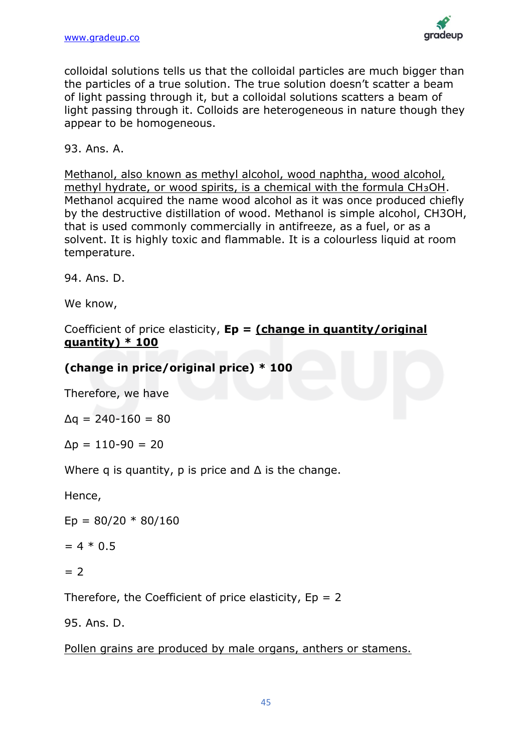

colloidal solutions tells us that the colloidal particles are much bigger than the particles of a true solution. The true solution doesn't scatter a beam of light passing through it, but a colloidal solutions scatters a beam of light passing through it. Colloids are heterogeneous in nature though they appear to be homogeneous.

93. Ans. A.

Methanol, also known as methyl alcohol, wood naphtha, wood alcohol, methyl hydrate, or wood spirits, is a chemical with the formula CH3OH. Methanol acquired the name wood alcohol as it was once produced chiefly by the destructive distillation of wood. Methanol is simple alcohol, CH3OH, that is used commonly commercially in antifreeze, as a fuel, or as a solvent. It is highly toxic and flammable. It is a colourless liquid at room temperature.

94. Ans. D.

We know,

Coefficient of price elasticity, **Ep = (change in quantity/original quantity) \* 100**

### **(change in price/original price) \* 100**

Therefore, we have

 $Δq = 240-160 = 80$ 

 $Δp = 110-90 = 20$ 

Where q is quantity, p is price and  $\Delta$  is the change.

Hence,

 $Ep = 80/20 * 80/160$ 

 $= 4 * 0.5$ 

```
= 2
```
Therefore, the Coefficient of price elasticity,  $Ep = 2$ 

95. Ans. D.

Pollen grains are produced by male organs, anthers or stamens.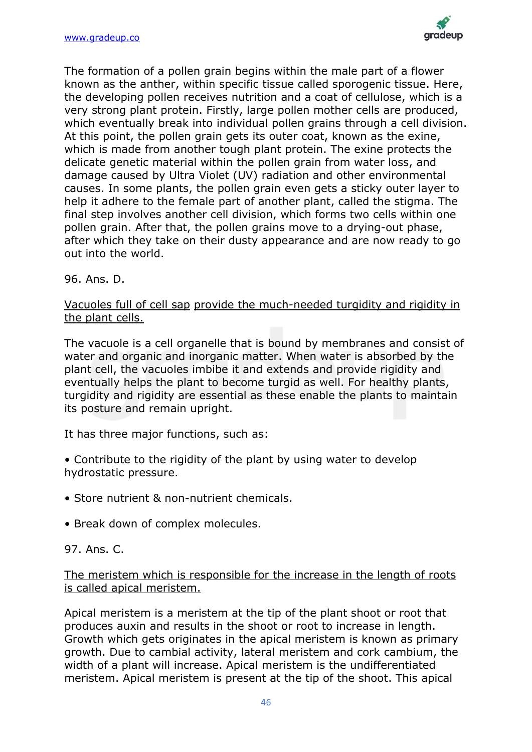

The formation of a pollen grain begins within the male part of a flower known as the anther, within specific tissue called sporogenic tissue. Here, the developing pollen receives nutrition and a coat of cellulose, which is a very strong plant protein. Firstly, large pollen mother cells are produced, which eventually break into individual pollen grains through a cell division. At this point, the pollen grain gets its outer coat, known as the exine, which is made from another tough plant protein. The exine protects the delicate genetic material within the pollen grain from water loss, and damage caused by Ultra Violet (UV) radiation and other environmental causes. In some plants, the pollen grain even gets a sticky outer layer to help it adhere to the female part of another plant, called the stigma. The final step involves another cell division, which forms two cells within one pollen grain. After that, the pollen grains move to a drying-out phase, after which they take on their dusty appearance and are now ready to go out into the world.

96. Ans. D.

### Vacuoles full of cell sap provide the much-needed turgidity and rigidity in the plant cells.

The vacuole is a cell organelle that is bound by membranes and consist of water and organic and inorganic matter. When water is absorbed by the plant cell, the vacuoles imbibe it and extends and provide rigidity and eventually helps the plant to become turgid as well. For healthy plants, turgidity and rigidity are essential as these enable the plants to maintain its posture and remain upright.

It has three major functions, such as:

- Contribute to the rigidity of the plant by using water to develop hydrostatic pressure.
- Store nutrient & non-nutrient chemicals.
- Break down of complex molecules.

### 97. Ans. C.

### The meristem which is responsible for the increase in the length of roots is called apical meristem.

Apical meristem is a meristem at the tip of the plant shoot or root that produces auxin and results in the shoot or root to increase in length. Growth which gets originates in the apical meristem is known as primary growth. Due to cambial activity, lateral meristem and cork cambium, the width of a plant will increase. Apical meristem is the undifferentiated meristem. Apical meristem is present at the tip of the shoot. This apical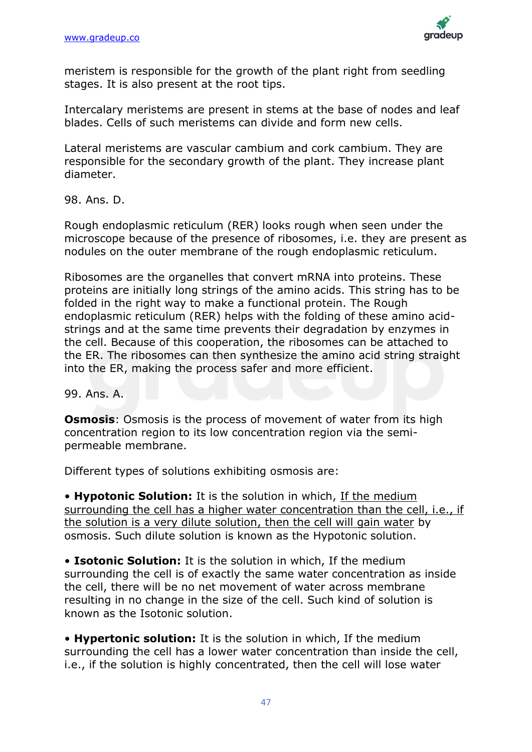

meristem is responsible for the growth of the plant right from seedling stages. It is also present at the root tips.

Intercalary meristems are present in stems at the base of nodes and leaf blades. Cells of such meristems can divide and form new cells.

Lateral meristems are vascular cambium and cork cambium. They are responsible for the secondary growth of the plant. They increase plant diameter.

98. Ans. D.

Rough endoplasmic reticulum (RER) looks rough when seen under the microscope because of the presence of ribosomes, i.e. they are present as nodules on the outer membrane of the rough endoplasmic reticulum.

Ribosomes are the organelles that convert mRNA into proteins. These proteins are initially long strings of the amino acids. This string has to be folded in the right way to make a functional protein. The Rough endoplasmic reticulum (RER) helps with the folding of these amino acidstrings and at the same time prevents their degradation by enzymes in the cell. Because of this cooperation, the ribosomes can be attached to the ER. The ribosomes can then synthesize the amino acid string straight into the ER, making the process safer and more efficient.

99. Ans. A.

**Osmosis:** Osmosis is the process of movement of water from its high concentration region to its low concentration region via the semipermeable membrane.

Different types of solutions exhibiting osmosis are:

• **Hypotonic Solution:** It is the solution in which, If the medium surrounding the cell has a higher water concentration than the cell, i.e., if the solution is a very dilute solution, then the cell will gain water by osmosis. Such dilute solution is known as the Hypotonic solution.

• **Isotonic Solution:** It is the solution in which, If the medium surrounding the cell is of exactly the same water concentration as inside the cell, there will be no net movement of water across membrane resulting in no change in the size of the cell. Such kind of solution is known as the Isotonic solution.

• **Hypertonic solution:** It is the solution in which, If the medium surrounding the cell has a lower water concentration than inside the cell, i.e., if the solution is highly concentrated, then the cell will lose water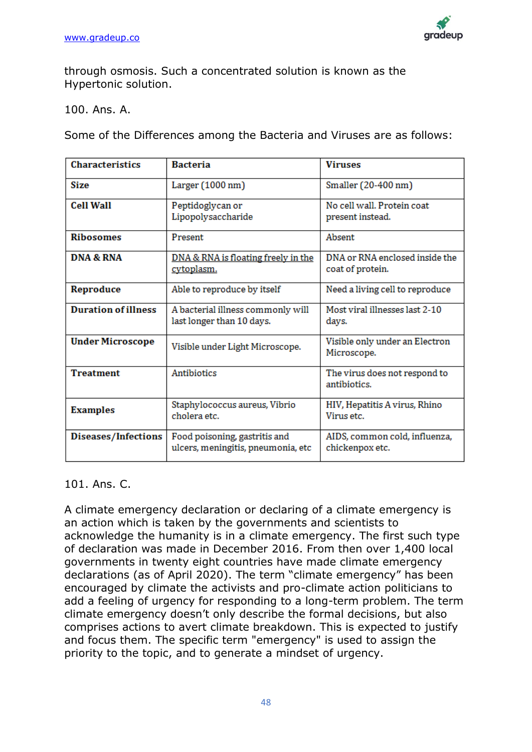

through osmosis. Such a concentrated solution is known as the Hypertonic solution.

100. Ans. A.

Some of the Differences among the Bacteria and Viruses are as follows:

| <b>Characteristics</b>     | <b>Bacteria</b>                                                     | <b>Viruses</b>                                     |  |  |  |  |
|----------------------------|---------------------------------------------------------------------|----------------------------------------------------|--|--|--|--|
| <b>Size</b>                | Larger (1000 nm)                                                    | Smaller (20-400 nm)                                |  |  |  |  |
| <b>Cell Wall</b>           | Peptidoglycan or<br>Lipopolysaccharide                              | No cell wall. Protein coat<br>present instead.     |  |  |  |  |
| <b>Ribosomes</b>           | Present                                                             | Absent                                             |  |  |  |  |
| <b>DNA &amp; RNA</b>       | DNA & RNA is floating freely in the<br>cytoplasm.                   | DNA or RNA enclosed inside the<br>coat of protein. |  |  |  |  |
| Reproduce                  | Able to reproduce by itself                                         | Need a living cell to reproduce                    |  |  |  |  |
| <b>Duration of illness</b> | A bacterial illness commonly will<br>last longer than 10 days.      | Most viral illnesses last 2-10<br>days.            |  |  |  |  |
| <b>Under Microscope</b>    | Visible under Light Microscope.                                     | Visible only under an Electron<br>Microscope.      |  |  |  |  |
| <b>Treatment</b>           | <b>Antibiotics</b>                                                  | The virus does not respond to<br>antibiotics.      |  |  |  |  |
| <b>Examples</b>            | Staphylococcus aureus, Vibrio<br>cholera etc.                       | HIV, Hepatitis A virus, Rhino<br>Virus etc.        |  |  |  |  |
| Diseases/Infections        | Food poisoning, gastritis and<br>ulcers, meningitis, pneumonia, etc | AIDS, common cold, influenza,<br>chickenpox etc.   |  |  |  |  |

### 101. Ans. C.

A climate emergency declaration or declaring of a climate emergency is an action which is taken by the governments and scientists to acknowledge the humanity is in a climate emergency. The first such type of declaration was made in December 2016. From then over 1,400 local governments in twenty eight countries have made climate emergency declarations (as of April 2020). The term "climate emergency" has been encouraged by climate the activists and pro-climate action politicians to add a feeling of urgency for responding to a long-term problem. The term climate emergency doesn't only describe the formal decisions, but also comprises actions to avert climate breakdown. This is expected to justify and focus them. The specific term "emergency" is used to assign the priority to the topic, and to generate a mindset of urgency.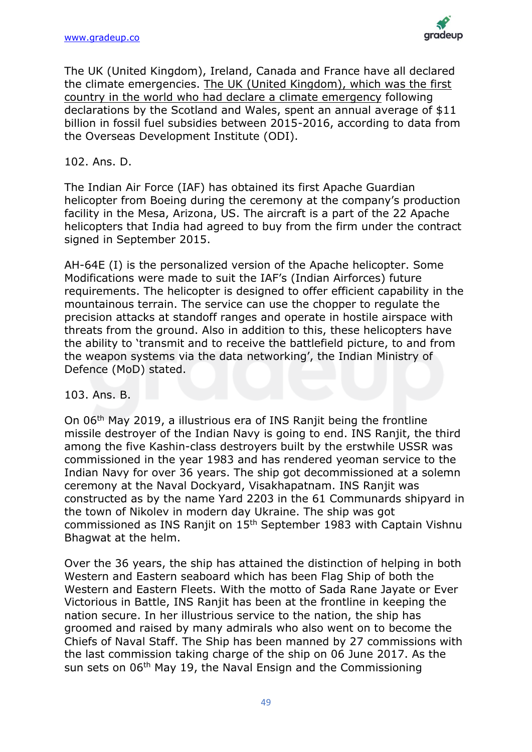

The UK (United Kingdom), Ireland, Canada and France have all declared the climate emergencies. The UK (United Kingdom), which was the first country in the world who had declare a climate emergency following declarations by the Scotland and Wales, spent an annual average of \$11 billion in fossil fuel subsidies between 2015-2016, according to data from the Overseas Development Institute (ODI).

### 102. Ans. D.

The Indian Air Force (IAF) has obtained its first Apache Guardian helicopter from Boeing during the ceremony at the company's production facility in the Mesa, Arizona, US. The aircraft is a part of the 22 Apache helicopters that India had agreed to buy from the firm under the contract signed in September 2015.

AH-64E (I) is the personalized version of the Apache helicopter. Some Modifications were made to suit the IAF's (Indian Airforces) future requirements. The helicopter is designed to offer efficient capability in the mountainous terrain. The service can use the chopper to regulate the precision attacks at standoff ranges and operate in hostile airspace with threats from the ground. Also in addition to this, these helicopters have the ability to 'transmit and to receive the battlefield picture, to and from the weapon systems via the data networking', the Indian Ministry of Defence (MoD) stated.

103. Ans. B.

On 06th May 2019, a illustrious era of INS Ranjit being the frontline missile destroyer of the Indian Navy is going to end. INS Ranjit, the third among the five Kashin-class destroyers built by the erstwhile USSR was commissioned in the year 1983 and has rendered yeoman service to the Indian Navy for over 36 years. The ship got decommissioned at a solemn ceremony at the Naval Dockyard, Visakhapatnam. INS Ranjit was constructed as by the name Yard 2203 in the 61 Communards shipyard in the town of Nikolev in modern day Ukraine. The ship was got commissioned as INS Ranjit on 15th September 1983 with Captain Vishnu Bhagwat at the helm.

Over the 36 years, the ship has attained the distinction of helping in both Western and Eastern seaboard which has been Flag Ship of both the Western and Eastern Fleets. With the motto of Sada Rane Jayate or Ever Victorious in Battle, INS Ranjit has been at the frontline in keeping the nation secure. In her illustrious service to the nation, the ship has groomed and raised by many admirals who also went on to become the Chiefs of Naval Staff. The Ship has been manned by 27 commissions with the last commission taking charge of the ship on 06 June 2017. As the sun sets on 06<sup>th</sup> May 19, the Naval Ensign and the Commissioning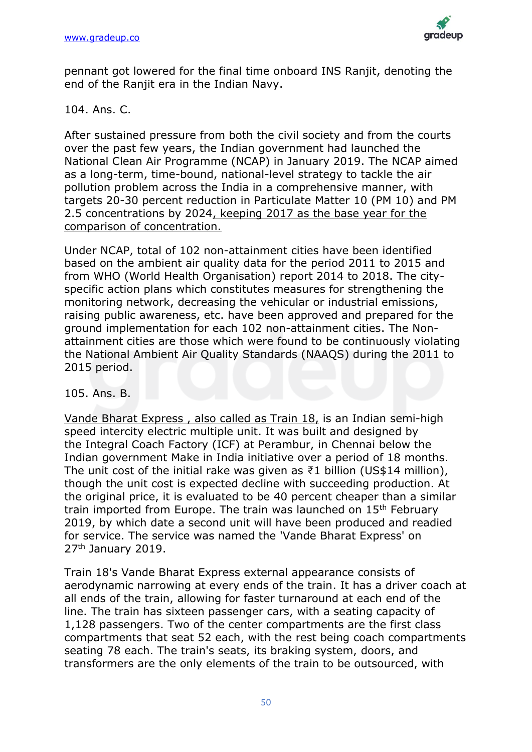

pennant got lowered for the final time onboard INS Ranjit, denoting the end of the Ranjit era in the Indian Navy.

### 104. Ans. C.

After sustained pressure from both the civil society and from the courts over the past few years, the Indian government had launched the National Clean Air Programme (NCAP) in January 2019. The NCAP aimed as a long-term, time-bound, national-level strategy to tackle the air pollution problem across the India in a comprehensive manner, with targets 20-30 percent reduction in Particulate Matter 10 (PM 10) and PM 2.5 concentrations by 2024, keeping 2017 as the base year for the comparison of concentration.

Under NCAP, total of 102 non-attainment cities have been identified based on the ambient air quality data for the period 2011 to 2015 and from WHO (World Health Organisation) report 2014 to 2018. The cityspecific action plans which constitutes measures for strengthening the monitoring network, decreasing the vehicular or industrial emissions, raising public awareness, etc. have been approved and prepared for the ground implementation for each 102 non-attainment cities. The Nonattainment cities are those which were found to be continuously violating the National Ambient Air Quality Standards (NAAQS) during the 2011 to 2015 period.

105. Ans. B.

Vande Bharat Express , also called as Train 18, is an Indian semi-high speed intercity electric multiple unit. It was built and designed by the Integral Coach Factory (ICF) at Perambur, in Chennai below the Indian government Make in India initiative over a period of 18 months. The unit cost of the initial rake was given as  $\bar{\tau}$ 1 billion (US\$14 million), though the unit cost is expected decline with succeeding production. At the original price, it is evaluated to be 40 percent cheaper than a similar train imported from Europe. The train was launched on 15<sup>th</sup> February 2019, by which date a second unit will have been produced and readied for service. The service was named the 'Vande Bharat Express' on 27th January 2019.

Train 18's Vande Bharat Express external appearance consists of aerodynamic narrowing at every ends of the train. It has a driver coach at all ends of the train, allowing for faster turnaround at each end of the line. The train has sixteen passenger cars, with a seating capacity of 1,128 passengers. Two of the center compartments are the first class compartments that seat 52 each, with the rest being coach compartments seating 78 each. The train's seats, its braking system, doors, and transformers are the only elements of the train to be outsourced, with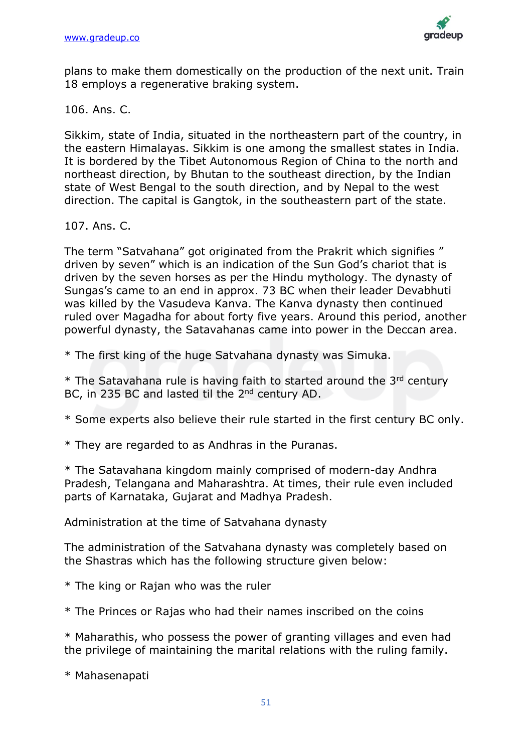

plans to make them domestically on the production of the next unit. Train 18 employs a regenerative braking system.

106. Ans. C.

Sikkim, state of India, situated in the northeastern part of the country, in the eastern Himalayas. Sikkim is one among the smallest states in India. It is bordered by the Tibet Autonomous Region of China to the north and northeast direction, by Bhutan to the southeast direction, by the Indian state of West Bengal to the south direction, and by Nepal to the west direction. The capital is Gangtok, in the southeastern part of the state.

107. Ans. C.

The term "Satvahana" got originated from the Prakrit which signifies " driven by seven" which is an indication of the Sun God's chariot that is driven by the seven horses as per the Hindu mythology. The dynasty of Sungas's came to an end in approx. 73 BC when their leader Devabhuti was killed by the Vasudeva Kanva. The Kanva dynasty then continued ruled over Magadha for about forty five years. Around this period, another powerful dynasty, the Satavahanas came into power in the Deccan area.

\* The first king of the huge Satvahana dynasty was Simuka.

 $*$  The Satavahana rule is having faith to started around the 3<sup>rd</sup> century BC, in 235 BC and lasted til the 2<sup>nd</sup> century AD.

\* Some experts also believe their rule started in the first century BC only.

\* They are regarded to as Andhras in the Puranas.

\* The Satavahana kingdom mainly comprised of modern-day Andhra Pradesh, Telangana and Maharashtra. At times, their rule even included parts of Karnataka, Gujarat and Madhya Pradesh.

Administration at the time of Satvahana dynasty

The administration of the Satvahana dynasty was completely based on the Shastras which has the following structure given below:

\* The king or Rajan who was the ruler

\* The Princes or Rajas who had their names inscribed on the coins

\* Maharathis, who possess the power of granting villages and even had the privilege of maintaining the marital relations with the ruling family.

\* Mahasenapati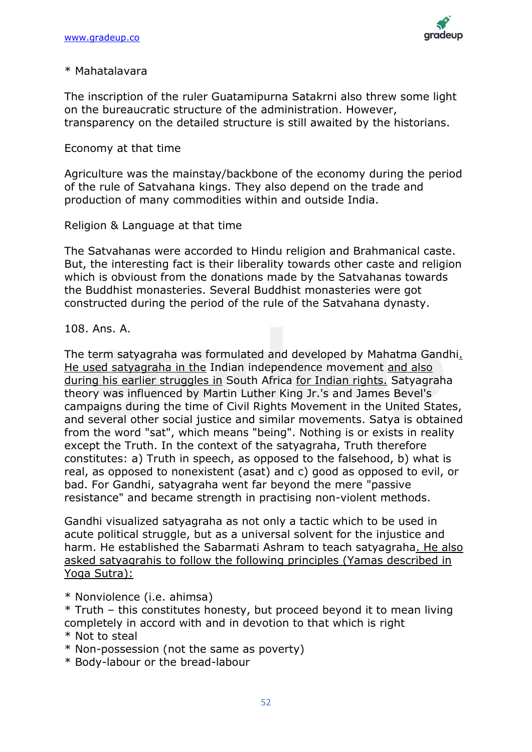

#### \* Mahatalavara

The inscription of the ruler Guatamipurna Satakrni also threw some light on the bureaucratic structure of the administration. However, transparency on the detailed structure is still awaited by the historians.

### Economy at that time

Agriculture was the mainstay/backbone of the economy during the period of the rule of Satvahana kings. They also depend on the trade and production of many commodities within and outside India.

### Religion & Language at that time

The Satvahanas were accorded to Hindu religion and Brahmanical caste. But, the interesting fact is their liberality towards other caste and religion which is obvioust from the donations made by the Satvahanas towards the Buddhist monasteries. Several Buddhist monasteries were got constructed during the period of the rule of the Satvahana dynasty.

### 108. Ans. A.

The term satyagraha was formulated and developed by Mahatma Gandhi. He used satyagraha in the Indian independence movement and also during his earlier struggles in South Africa for Indian rights. Satyagraha theory was influenced by Martin Luther King Jr.'s and James Bevel's campaigns during the time of Civil Rights Movement in the United States, and several other social justice and similar movements. Satya is obtained from the word "sat", which means "being". Nothing is or exists in reality except the Truth. In the context of the satyagraha, Truth therefore constitutes: a) Truth in speech, as opposed to the falsehood, b) what is real, as opposed to nonexistent (asat) and c) good as opposed to evil, or bad. For Gandhi, satyagraha went far beyond the mere "passive resistance" and became strength in practising non-violent methods.

Gandhi visualized satyagraha as not only a tactic which to be used in acute political struggle, but as a universal solvent for the injustice and harm. He established the Sabarmati Ashram to teach satyagraha. He also asked satyagrahis to follow the following principles (Yamas described in Yoga Sutra):

\* Nonviolence (i.e. ahimsa)

\* Truth – this constitutes honesty, but proceed beyond it to mean living completely in accord with and in devotion to that which is right

- \* Non-possession (not the same as poverty)
- \* Body-labour or the bread-labour

<sup>\*</sup> Not to steal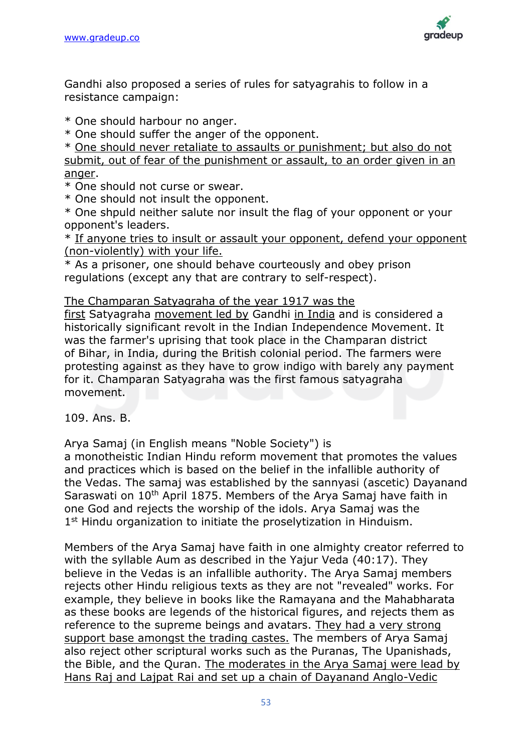

Gandhi also proposed a series of rules for satyagrahis to follow in a resistance campaign:

\* One should harbour no anger.

\* One should suffer the anger of the opponent.

\* One should never retaliate to assaults or punishment; but also do not submit, out of fear of the punishment or assault, to an order given in an anger.

\* One should not curse or swear.

\* One should not insult the opponent.

\* One shpuld neither salute nor insult the flag of your opponent or your opponent's leaders.

\* If anyone tries to insult or assault your opponent, defend your opponent (non-violently) with your life.

\* As a prisoner, one should behave courteously and obey prison regulations (except any that are contrary to self-respect).

The Champaran Satyagraha of the year 1917 was the

first Satyagraha movement led by Gandhi in India and is considered a historically significant revolt in the Indian Independence Movement. It was the farmer's uprising that took place in the Champaran district of Bihar, in India, during the British colonial period. The farmers were protesting against as they have to grow indigo with barely any payment for it. Champaran Satyagraha was the first famous satyagraha movement.

109. Ans. B.

Arya Samaj (in English means "Noble Society") is

a monotheistic Indian Hindu reform movement that promotes the values and practices which is based on the belief in the infallible authority of the Vedas. The samaj was established by the sannyasi (ascetic) Dayanand Saraswati on 10th April 1875. Members of the Arya Samaj have faith in one God and rejects the worship of the idols. Arya Samaj was the 1<sup>st</sup> Hindu organization to initiate the proselytization in Hinduism.

Members of the Arya Samaj have faith in one almighty creator referred to with the syllable Aum as described in the Yajur Veda (40:17). They believe in the Vedas is an infallible authority. The Arya Samaj members rejects other Hindu religious texts as they are not "revealed" works. For example, they believe in books like the Ramayana and the Mahabharata as these books are legends of the historical figures, and rejects them as reference to the supreme beings and avatars. They had a very strong support base amongst the trading castes. The members of Arya Samaj also reject other scriptural works such as the Puranas, The Upanishads, the Bible, and the Quran. The moderates in the Arya Samaj were lead by Hans Raj and Lajpat Rai and set up a chain of Dayanand Anglo-Vedic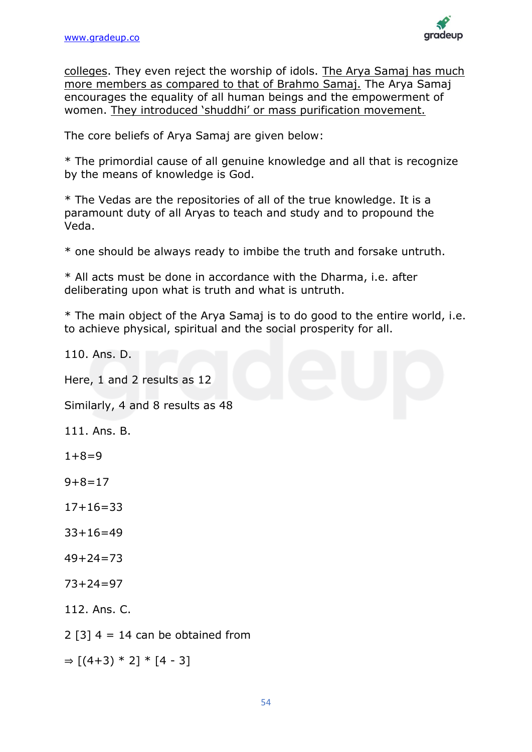

colleges. They even reject the worship of idols. The Arya Samaj has much more members as compared to that of Brahmo Samaj. The Arya Samaj encourages the equality of all human beings and the empowerment of women. They introduced 'shuddhi' or mass purification movement.

The core beliefs of Arya Samaj are given below:

\* The primordial cause of all genuine knowledge and all that is recognize by the means of knowledge is God.

\* The Vedas are the repositories of all of the true knowledge. It is a paramount duty of all Aryas to teach and study and to propound the Veda.

\* one should be always ready to imbibe the truth and forsake untruth.

\* All acts must be done in accordance with the Dharma, i.e. after deliberating upon what is truth and what is untruth.

\* The main object of the Arya Samaj is to do good to the entire world, i.e. to achieve physical, spiritual and the social prosperity for all.

110. Ans. D.

Here, 1 and 2 results as 12

Similarly, 4 and 8 results as 48

111. Ans. B.

- $1+8=9$
- $9+8=17$
- $17+16=33$
- 33+16=49
- 49+24=73
- $73+24=97$
- 112. Ans. C.
- $2$  [3]  $4 = 14$  can be obtained from

 $\Rightarrow$  [(4+3) \* 2] \* [4 - 3]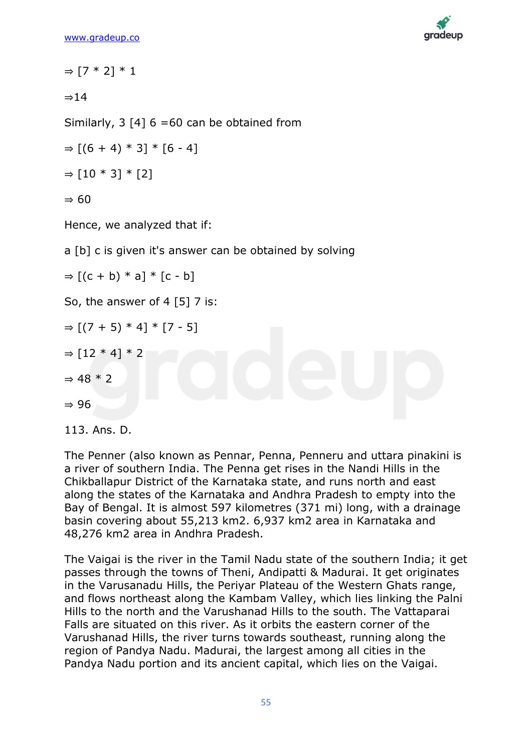

```
\Rightarrow [7 * 2] * 1
⇒14
Similarly, 3 [4] 6 = 60 can be obtained from
\Rightarrow [(6 + 4) * 3] * [6 - 4]
\Rightarrow [10 * 3] * [2]
⇒ 60
Hence, we analyzed that if:
a [b] c is given it's answer can be obtained by solving
\Rightarrow [(c + b) * a] * [c - b]
So, the answer of 4 [5] 7 is:
\Rightarrow [(7 + 5) * 4] * [7 - 5]
\Rightarrow [12 * 4] * 2
\Rightarrow 48 * 2
⇒ 96
```

```
113. Ans. D.
```
The Penner (also known as Pennar, Penna, Penneru and uttara pinakini is a river of southern India. The Penna get rises in the Nandi Hills in the Chikballapur District of the Karnataka state, and runs north and east along the states of the Karnataka and Andhra Pradesh to empty into the Bay of Bengal. It is almost 597 kilometres (371 mi) long, with a drainage basin covering about 55,213 km2. 6,937 km2 area in Karnataka and 48,276 km2 area in Andhra Pradesh.

The Vaigai is the river in the Tamil Nadu state of the southern India; it get passes through the towns of Theni, Andipatti & Madurai. It get originates in the Varusanadu Hills, the Periyar Plateau of the Western Ghats range, and flows northeast along the Kambam Valley, which lies linking the Palni Hills to the north and the Varushanad Hills to the south. The Vattaparai Falls are situated on this river. As it orbits the eastern corner of the Varushanad Hills, the river turns towards southeast, running along the region of Pandya Nadu. Madurai, the largest among all cities in the Pandya Nadu portion and its ancient capital, which lies on the Vaigai.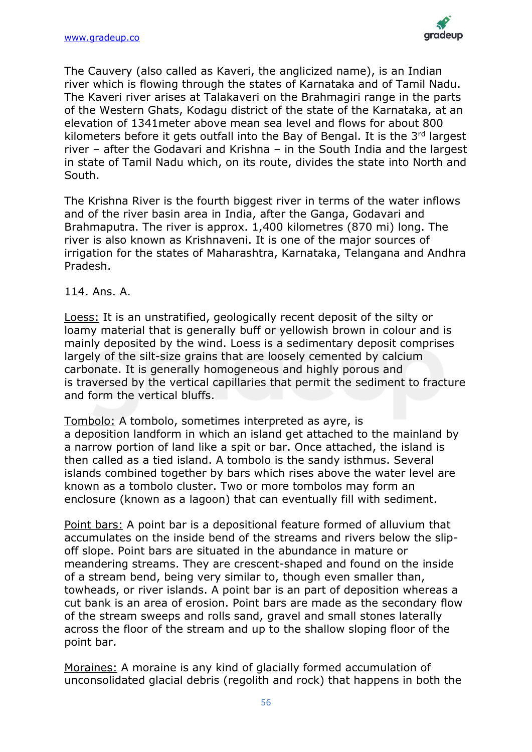

The Cauvery (also called as Kaveri, the anglicized name), is an Indian river which is flowing through the states of Karnataka and of Tamil Nadu. The Kaveri river arises at Talakaveri on the Brahmagiri range in the parts of the Western Ghats, Kodagu district of the state of the Karnataka, at an elevation of 1341meter above mean sea level and flows for about 800 kilometers before it gets outfall into the Bay of Bengal. It is the 3rd largest river – after the Godavari and Krishna – in the South India and the largest in state of Tamil Nadu which, on its route, divides the state into North and South.

The Krishna River is the fourth biggest river in terms of the water inflows and of the river basin area in India, after the Ganga, Godavari and Brahmaputra. The river is approx. 1,400 kilometres (870 mi) long. The river is also known as Krishnaveni. It is one of the major sources of irrigation for the states of Maharashtra, Karnataka, Telangana and Andhra Pradesh.

### 114. Ans. A.

Loess: It is an unstratified, geologically recent deposit of the silty or loamy material that is generally buff or yellowish brown in colour and is mainly deposited by the wind. Loess is a sedimentary deposit comprises largely of the silt-size grains that are loosely cemented by calcium carbonate. It is generally homogeneous and highly porous and is traversed by the vertical capillaries that permit the sediment to fracture and form the vertical bluffs.

Tombolo: A tombolo, sometimes interpreted as ayre, is a deposition landform in which an island get attached to the mainland by a narrow portion of land like a spit or bar. Once attached, the island is then called as a tied island. A tombolo is the sandy isthmus. Several islands combined together by bars which rises above the water level are known as a tombolo cluster. Two or more tombolos may form an enclosure (known as a lagoon) that can eventually fill with sediment.

Point bars: A point bar is a depositional feature formed of alluvium that accumulates on the inside bend of the streams and rivers below the slipoff slope. Point bars are situated in the abundance in mature or meandering streams. They are crescent-shaped and found on the inside of a stream bend, being very similar to, though even smaller than, towheads, or river islands. A point bar is an part of deposition whereas a cut bank is an area of erosion. Point bars are made as the secondary flow of the stream sweeps and rolls sand, gravel and small stones laterally across the floor of the stream and up to the shallow sloping floor of the point bar.

Moraines: A moraine is any kind of glacially formed accumulation of unconsolidated glacial debris (regolith and rock) that happens in both the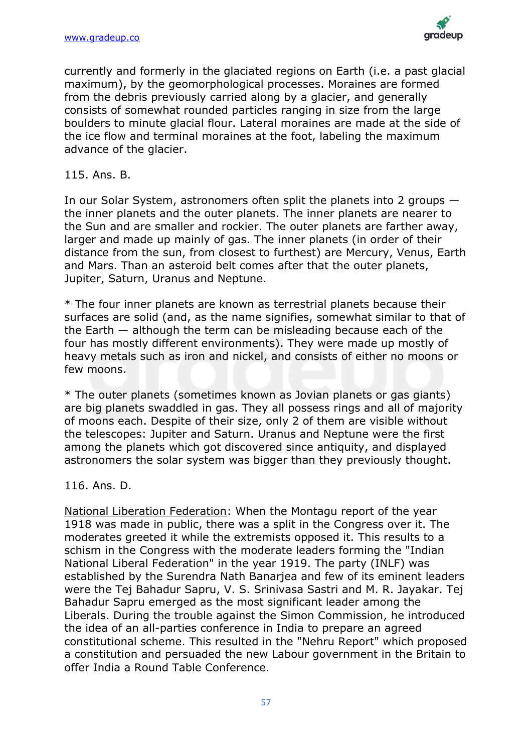

currently and formerly in the glaciated regions on Earth (i.e. a past glacial maximum), by the geomorphological processes. Moraines are formed from the debris previously carried along by a glacier, and generally consists of somewhat rounded particles ranging in size from the large boulders to minute glacial flour. Lateral moraines are made at the side of the ice flow and terminal moraines at the foot, labeling the maximum advance of the glacier.

115. Ans. B.

In our Solar System, astronomers often split the planets into 2 groups the inner planets and the outer planets. The inner planets are nearer to the Sun and are smaller and rockier. The outer planets are farther away, larger and made up mainly of gas. The inner planets (in order of their distance from the sun, from closest to furthest) are Mercury, Venus, Earth and Mars. Than an asteroid belt comes after that the outer planets, Jupiter, Saturn, Uranus and Neptune.

\* The four inner planets are known as terrestrial planets because their surfaces are solid (and, as the name signifies, somewhat similar to that of the Earth — although the term can be misleading because each of the four has mostly different environments). They were made up mostly of heavy metals such as iron and nickel, and consists of either no moons or few moons.

\* The outer planets (sometimes known as Jovian planets or gas giants) are big planets swaddled in gas. They all possess rings and all of majority of moons each. Despite of their size, only 2 of them are visible without the telescopes: Jupiter and Saturn. Uranus and Neptune were the first among the planets which got discovered since antiquity, and displayed astronomers the solar system was bigger than they previously thought.

116. Ans. D.

National Liberation Federation: When the Montagu report of the year 1918 was made in public, there was a split in the Congress over it. The moderates greeted it while the extremists opposed it. This results to a schism in the Congress with the moderate leaders forming the "Indian National Liberal Federation" in the year 1919. The party (INLF) was established by the Surendra Nath Banarjea and few of its eminent leaders were the Tej Bahadur Sapru, V. S. Srinivasa Sastri and M. R. Jayakar. Tej Bahadur Sapru emerged as the most significant leader among the Liberals. During the trouble against the Simon Commission, he introduced the idea of an all-parties conference in India to prepare an agreed constitutional scheme. This resulted in the "Nehru Report" which proposed a constitution and persuaded the new Labour government in the Britain to offer India a Round Table Conference.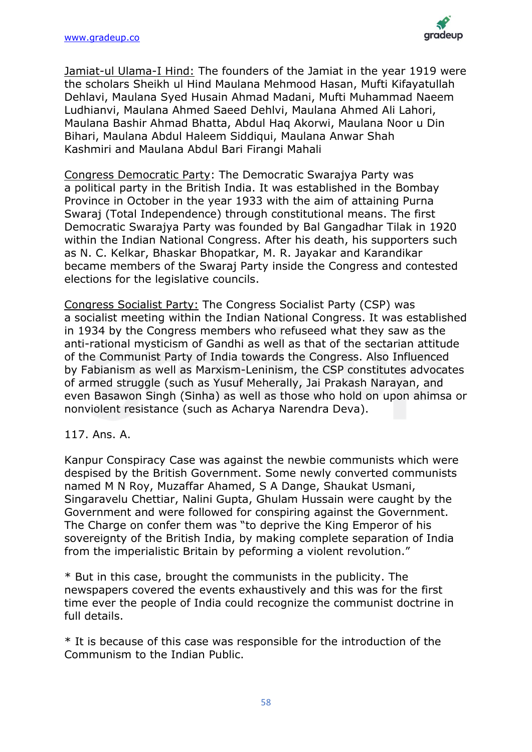

Jamiat-ul Ulama-I Hind: The founders of the Jamiat in the year 1919 were the scholars Sheikh ul Hind Maulana Mehmood Hasan, Mufti Kifayatullah Dehlavi, Maulana Syed Husain Ahmad Madani, Mufti Muhammad Naeem Ludhianvi, Maulana Ahmed Saeed Dehlvi, Maulana Ahmed Ali Lahori, Maulana Bashir Ahmad Bhatta, Abdul Haq Akorwi, Maulana Noor u Din Bihari, Maulana Abdul Haleem Siddiqui, Maulana Anwar Shah Kashmiri and Maulana Abdul Bari Firangi Mahali

Congress Democratic Party: The Democratic Swarajya Party was a political party in the British India. It was established in the Bombay Province in October in the year 1933 with the aim of attaining Purna Swaraj (Total Independence) through constitutional means. The first Democratic Swarajya Party was founded by Bal Gangadhar Tilak in 1920 within the Indian National Congress. After his death, his supporters such as N. C. Kelkar, Bhaskar Bhopatkar, M. R. Jayakar and Karandikar became members of the Swaraj Party inside the Congress and contested elections for the legislative councils.

Congress Socialist Party: The Congress Socialist Party (CSP) was a socialist meeting within the Indian National Congress. It was established in 1934 by the Congress members who refuseed what they saw as the anti-rational mysticism of Gandhi as well as that of the sectarian attitude of the Communist Party of India towards the Congress. Also Influenced by Fabianism as well as Marxism-Leninism, the CSP constitutes advocates of armed struggle (such as Yusuf Meherally, Jai Prakash Narayan, and even Basawon Singh (Sinha) as well as those who hold on upon ahimsa or nonviolent resistance (such as Acharya Narendra Deva).

### 117. Ans. A.

Kanpur Conspiracy Case was against the newbie communists which were despised by the British Government. Some newly converted communists named M N Roy, Muzaffar Ahamed, S A Dange, Shaukat Usmani, Singaravelu Chettiar, Nalini Gupta, Ghulam Hussain were caught by the Government and were followed for conspiring against the Government. The Charge on confer them was "to deprive the King Emperor of his sovereignty of the British India, by making complete separation of India from the imperialistic Britain by peforming a violent revolution."

\* But in this case, brought the communists in the publicity. The newspapers covered the events exhaustively and this was for the first time ever the people of India could recognize the communist doctrine in full details.

\* It is because of this case was responsible for the introduction of the Communism to the Indian Public.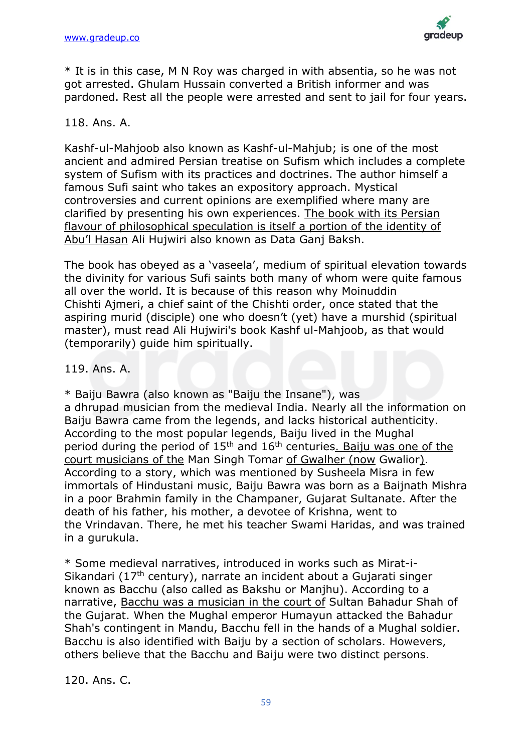

\* It is in this case, M N Roy was charged in with absentia, so he was not got arrested. Ghulam Hussain converted a British informer and was pardoned. Rest all the people were arrested and sent to jail for four years.

### 118. Ans. A.

Kashf-ul-Mahjoob also known as Kashf-ul-Mahjub; is one of the most ancient and admired Persian treatise on Sufism which includes a complete system of Sufism with its practices and doctrines. The author himself a famous Sufi saint who takes an expository approach. Mystical controversies and current opinions are exemplified where many are clarified by presenting his own experiences. The book with its Persian flavour of philosophical speculation is itself a portion of the identity of Abu'l Hasan Ali Hujwiri also known as Data Ganj Baksh.

The book has obeyed as a 'vaseela', medium of spiritual elevation towards the divinity for various Sufi saints both many of whom were quite famous all over the world. It is because of this reason why Moinuddin Chishti Ajmeri, a chief saint of the Chishti order, once stated that the aspiring murid (disciple) one who doesn't (yet) have a murshid (spiritual master), must read Ali Hujwiri's book Kashf ul-Mahjoob, as that would (temporarily) guide him spiritually.

### 119. Ans. A.

\* Baiju Bawra (also known as "Baiju the Insane"), was a dhrupad musician from the medieval India. Nearly all the information on Baiju Bawra came from the legends, and lacks historical authenticity. According to the most popular legends, Baiju lived in the Mughal period during the period of  $15<sup>th</sup>$  and  $16<sup>th</sup>$  centuries. Baiju was one of the court musicians of the Man Singh Tomar of Gwalher (now Gwalior). According to a story, which was mentioned by Susheela Misra in few immortals of Hindustani music, Baiju Bawra was born as a Baijnath Mishra in a poor Brahmin family in the Champaner, Gujarat Sultanate. After the death of his father, his mother, a devotee of Krishna, went to the Vrindavan. There, he met his teacher Swami Haridas, and was trained in a gurukula.

\* Some medieval narratives, introduced in works such as Mirat-i-Sikandari (17th century), narrate an incident about a Gujarati singer known as Bacchu (also called as Bakshu or Manjhu). According to a narrative, Bacchu was a musician in the court of Sultan Bahadur Shah of the Gujarat. When the Mughal emperor Humayun attacked the Bahadur Shah's contingent in Mandu, Bacchu fell in the hands of a Mughal soldier. Bacchu is also identified with Baiju by a section of scholars. Howevers, others believe that the Bacchu and Baiju were two distinct persons.

120. Ans. C.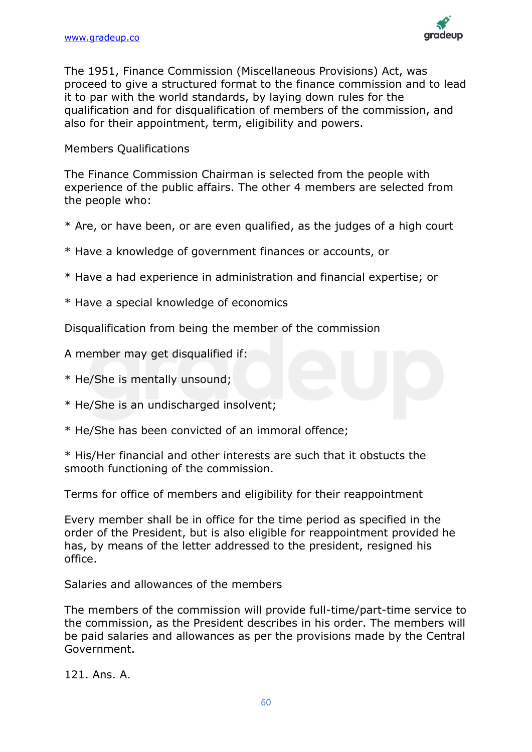

The 1951, Finance Commission (Miscellaneous Provisions) Act, was proceed to give a structured format to the finance commission and to lead it to par with the world standards, by laying down rules for the qualification and for disqualification of members of the commission, and also for their appointment, term, eligibility and powers.

### Members Qualifications

The Finance Commission Chairman is selected from the people with experience of the public affairs. The other 4 members are selected from the people who:

- \* Are, or have been, or are even qualified, as the judges of a high court
- \* Have a knowledge of government finances or accounts, or
- \* Have a had experience in administration and financial expertise; or
- \* Have a special knowledge of economics

Disqualification from being the member of the commission

A member may get disqualified if:

- \* He/She is mentally unsound;
- \* He/She is an undischarged insolvent;
- \* He/She has been convicted of an immoral offence;

\* His/Her financial and other interests are such that it obstucts the smooth functioning of the commission.

Terms for office of members and eligibility for their reappointment

Every member shall be in office for the time period as specified in the order of the President, but is also eligible for reappointment provided he has, by means of the letter addressed to the president, resigned his office.

Salaries and allowances of the members

The members of the commission will provide full-time/part-time service to the commission, as the President describes in his order. The members will be paid salaries and allowances as per the provisions made by the Central Government.

121. Ans. A.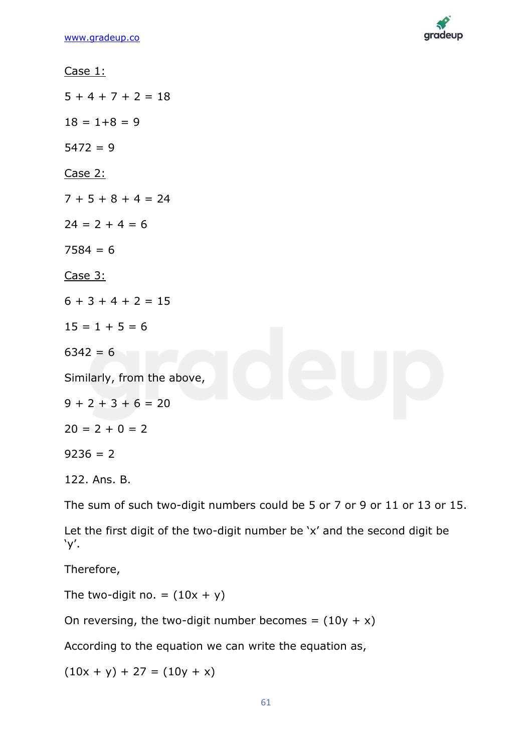

Case 1:  $5 + 4 + 7 + 2 = 18$  $18 = 1+8 = 9$  $5472 = 9$ Case 2:  $7 + 5 + 8 + 4 = 24$  $24 = 2 + 4 = 6$  $7584 = 6$ Case 3:  $6 + 3 + 4 + 2 = 15$  $15 = 1 + 5 = 6$  $6342 = 6$ Similarly, from the above,  $9 + 2 + 3 + 6 = 20$  $20 = 2 + 0 = 2$  $9236 = 2$ 122. Ans. B. The sum of such two-digit numbers could be 5 or 7 or 9 or 11 or 13 or 15.

Let the first digit of the two-digit number be 'x' and the second digit be 'y'.

Therefore,

The two-digit no. =  $(10x + y)$ 

On reversing, the two-digit number becomes =  $(10y + x)$ 

According to the equation we can write the equation as,

 $(10x + y) + 27 = (10y + x)$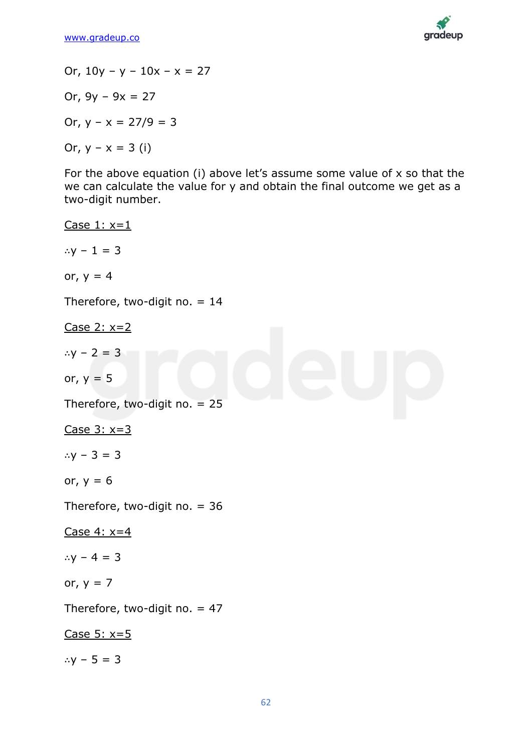

Or,  $10y - y - 10x - x = 27$ Or,  $9v - 9x = 27$ Or,  $y - x = 27/9 = 3$ Or,  $y - x = 3$  (i) For the above equation (i) above let's assume some value of x so that the we can calculate the value for y and obtain the final outcome we get as a two-digit number. Case  $1: x=1$ ∴ $y - 1 = 3$ or,  $y = 4$ Therefore, two-digit no. = 14 Case 2: x=2 ∴ $y - 2 = 3$ or,  $y = 5$ Therefore, two-digit no. = 25 Case  $3: x=3$ ∴y – 3 = 3 or,  $y = 6$ Therefore, two-digit no. = 36 Case 4: x=4 ∴y – 4 = 3 or,  $y = 7$ Therefore, two-digit no.  $= 47$ 

Case  $5: x=5$ 

∴ $y - 5 = 3$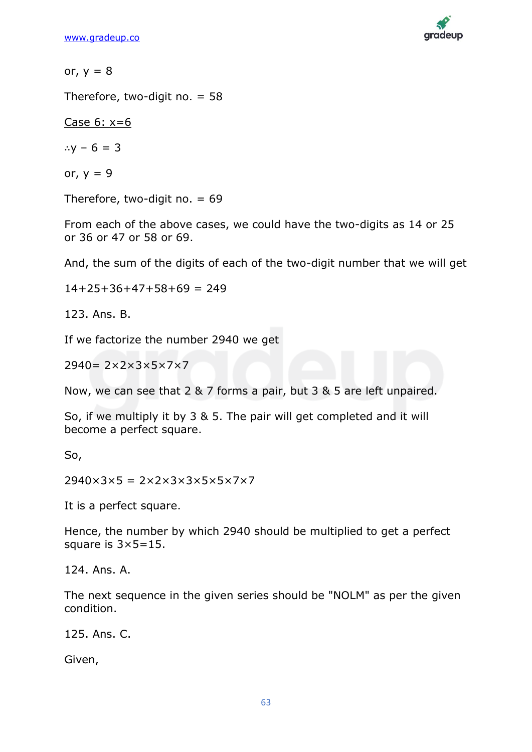

or,  $y = 8$ 

Therefore, two-digit no.  $= 58$ 

Case  $6: x=6$ 

∴y – 6 = 3

or,  $y = 9$ 

Therefore, two-digit no.  $= 69$ 

From each of the above cases, we could have the two-digits as 14 or 25 or 36 or 47 or 58 or 69.

And, the sum of the digits of each of the two-digit number that we will get

 $14+25+36+47+58+69 = 249$ 

123. Ans. B.

If we factorize the number 2940 we get

2940= 2×2×3×5×7×7

Now, we can see that 2 & 7 forms a pair, but 3 & 5 are left unpaired.

So, if we multiply it by 3 & 5. The pair will get completed and it will become a perfect square.

So,

 $2940\times3\times5 = 2\times2\times3\times3\times5\times5\times7\times7$ 

It is a perfect square.

Hence, the number by which 2940 should be multiplied to get a perfect square is 3×5=15.

124. Ans. A.

The next sequence in the given series should be "NOLM" as per the given condition.

125. Ans. C.

Given,